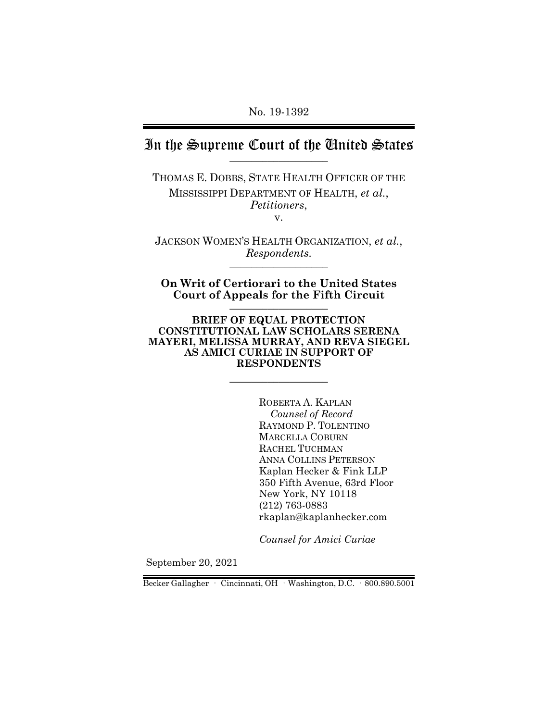## In the Supreme Court of the United States

THOMAS E. DOBBS, STATE HEALTH OFFICER OF THE MISSISSIPPI DEPARTMENT OF HEALTH, *et al.*, *Petitioners*, v.

JACKSON WOMEN'S HEALTH ORGANIZATION, *et al.*,  $Respondents.$ 

**On Writ of Certiorari to the United States Court of Appeals for the Fifth Circuit** \_\_\_\_\_\_\_\_\_\_\_\_\_\_\_\_\_\_

**BRIEF OF EQUAL PROTECTION CONSTITUTIONAL LAW SCHOLARS SERENA MAYERI, MELISSA MURRAY, AND REVA SIEGEL AS AMICI CURIAE IN SUPPORT OF RESPONDENTS**

 $\_$ 

ROBERTA A. KAPLAN *Counsel of Record* RAYMOND P. TOLENTINO MARCELLA COBURN RACHEL TUCHMAN ANNA COLLINS PETERSON Kaplan Hecker & Fink LLP 350 Fifth Avenue, 63rd Floor New York, NY 10118 (212) 763-0883 rkaplan@kaplanhecker.com

*Counsel for Amici Curiae*

September 20, 2021

Becker Gallagher · Cincinnati, OH · Washington, D.C. · 800.890.5001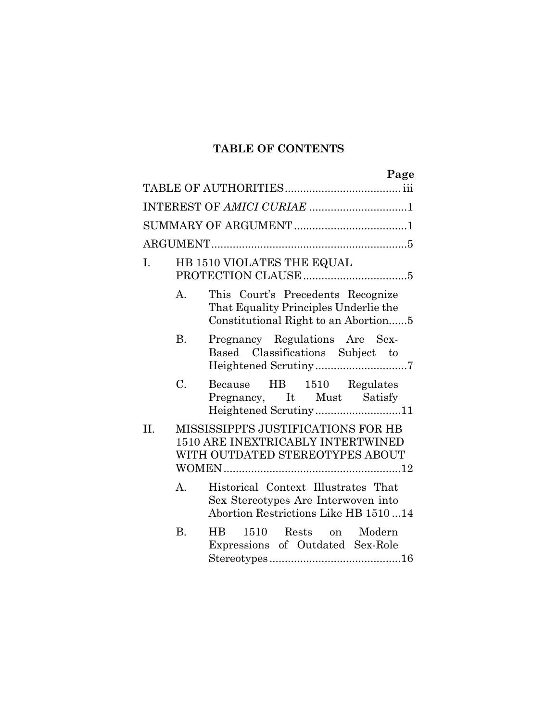## **TABLE OF CONTENTS**

|     |                | Page                                                                                                               |
|-----|----------------|--------------------------------------------------------------------------------------------------------------------|
|     |                |                                                                                                                    |
|     |                | INTEREST OF AMICI CURIAE 1                                                                                         |
|     |                |                                                                                                                    |
|     |                |                                                                                                                    |
| I.  |                | HB 1510 VIOLATES THE EQUAL                                                                                         |
|     | A.             | This Court's Precedents Recognize<br>That Equality Principles Underlie the<br>Constitutional Right to an Abortion5 |
|     | <b>B.</b>      | Pregnancy Regulations Are Sex-<br>Based Classifications Subject to<br>Heightened Scrutiny7                         |
|     | C.             | Because HB 1510 Regulates<br>Pregnancy, It Must Satisfy<br>Heightened Scrutiny11                                   |
| II. |                | MISSISSIPPI'S JUSTIFICATIONS FOR HB<br><b>1510 ARE INEXTRICABLY INTERTWINED</b><br>WITH OUTDATED STEREOTYPES ABOUT |
|     | A <sub>1</sub> | Historical Context Illustrates That<br>Sex Stereotypes Are Interwoven into<br>Abortion Restrictions Like HB 151014 |
|     | <b>B.</b>      | 1510 Rests on Modern<br>$\rm{HB}$<br>Expressions of Outdated Sex-Role                                              |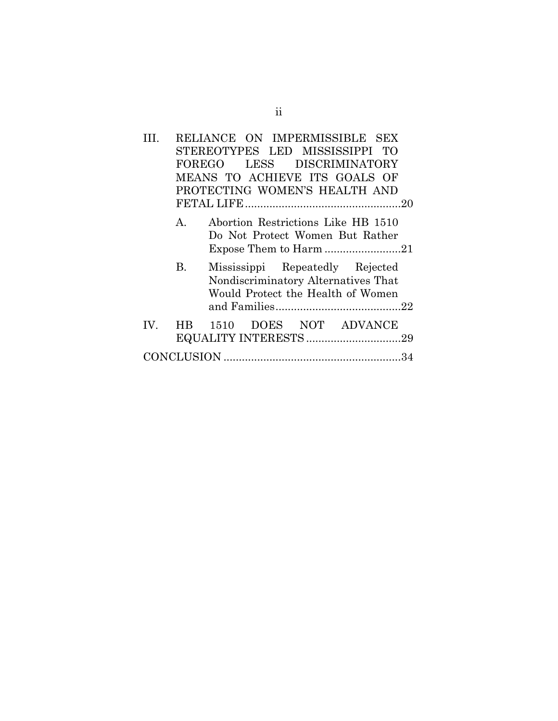|           |        | RELIANCE ON IMPERMISSIBLE SEX                                                                               |  |  |
|-----------|--------|-------------------------------------------------------------------------------------------------------------|--|--|
|           |        | STEREOTYPES LED MISSISSIPPI TO                                                                              |  |  |
|           | FOREGO | LESS DISCRIMINATORY                                                                                         |  |  |
|           |        | MEANS TO ACHIEVE ITS GOALS OF                                                                               |  |  |
|           |        | PROTECTING WOMEN'S HEALTH AND                                                                               |  |  |
|           |        |                                                                                                             |  |  |
| A.        |        | Abortion Restrictions Like HB 1510<br>Do Not Protect Women But Rather                                       |  |  |
| <b>B.</b> |        | Mississippi Repeatedly Rejected<br>Nondiscriminatory Alternatives That<br>Would Protect the Health of Women |  |  |
| IV. HB    |        | 1510 DOES NOT ADVANCE                                                                                       |  |  |
|           |        |                                                                                                             |  |  |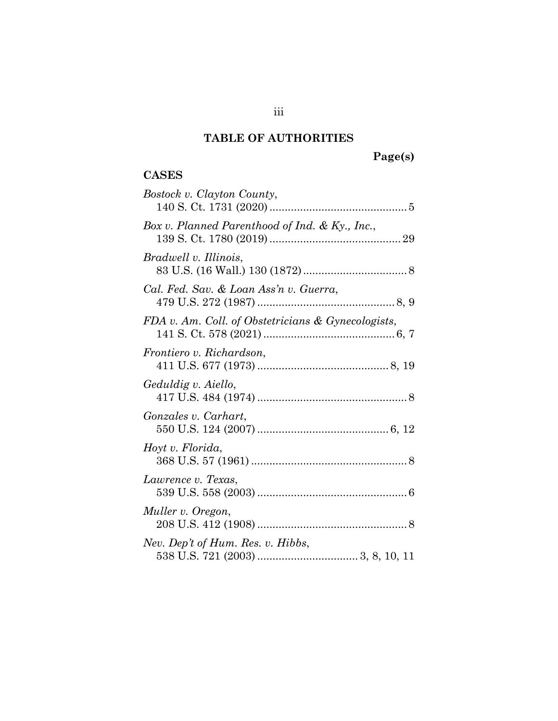## **TABLE OF AUTHORITIES**

# **Page(s)**

## **CASES**

| Bostock v. Clayton County,                         |
|----------------------------------------------------|
| Box v. Planned Parenthood of Ind. & Ky., Inc.,     |
| Bradwell v. Illinois,                              |
| Cal. Fed. Sav. & Loan Ass'n v. Guerra,             |
| FDA v. Am. Coll. of Obstetricians & Gynecologists, |
| Frontiero v. Richardson,                           |
| Geduldig v. Aiello,                                |
| Gonzales v. Carhart,                               |
| Hoyt v. Florida,                                   |
| Lawrence v. Texas,                                 |
| Muller v. Oregon,                                  |
| Nev. Dep't of Hum. Res. v. Hibbs,                  |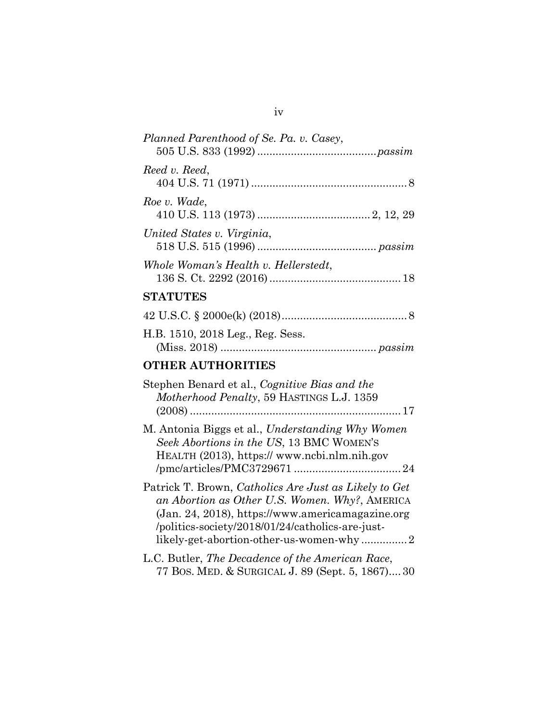| Planned Parenthood of Se. Pa. v. Casey,                                                                                                                                                                                                                    |
|------------------------------------------------------------------------------------------------------------------------------------------------------------------------------------------------------------------------------------------------------------|
| Reed v. Reed,                                                                                                                                                                                                                                              |
| Roe v. Wade,                                                                                                                                                                                                                                               |
| United States v. Virginia,                                                                                                                                                                                                                                 |
| Whole Woman's Health v. Hellerstedt,                                                                                                                                                                                                                       |
| <b>STATUTES</b>                                                                                                                                                                                                                                            |
|                                                                                                                                                                                                                                                            |
| H.B. 1510, 2018 Leg., Reg. Sess.                                                                                                                                                                                                                           |
| <b>OTHER AUTHORITIES</b>                                                                                                                                                                                                                                   |
| Stephen Benard et al., Cognitive Bias and the<br>Motherhood Penalty, 59 HASTINGS L.J. 1359                                                                                                                                                                 |
|                                                                                                                                                                                                                                                            |
| M. Antonia Biggs et al., Understanding Why Women<br>Seek Abortions in the US, 13 BMC WOMEN'S<br>HEALTH (2013), https://www.ncbi.nlm.nih.gov                                                                                                                |
| Patrick T. Brown, Catholics Are Just as Likely to Get<br>an Abortion as Other U.S. Women. Why?, AMERICA<br>(Jan. 24, 2018), https://www.americamagazine.org<br>/politics-society/2018/01/24/catholics-are-just-<br>likely-get-abortion-other-us-women-why2 |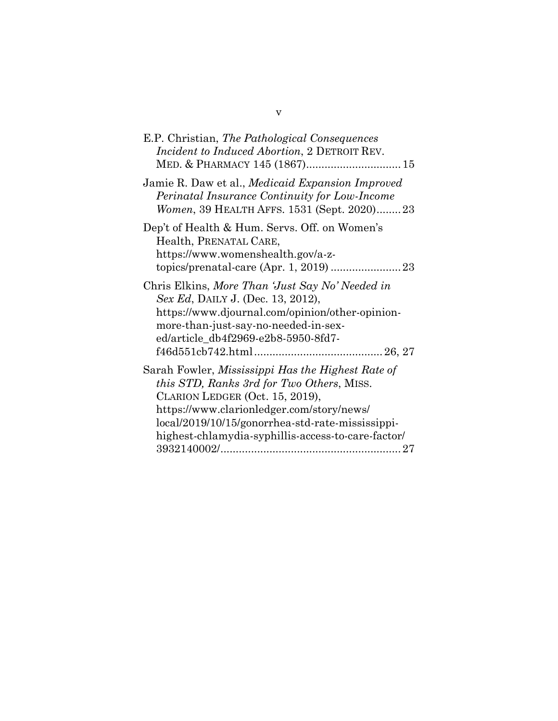| E.P. Christian, The Pathological Consequences<br><i>Incident to Induced Abortion, 2 DETROIT REV.</i>                                                                                                                                                                                     |
|------------------------------------------------------------------------------------------------------------------------------------------------------------------------------------------------------------------------------------------------------------------------------------------|
| Jamie R. Daw et al., <i>Medicaid Expansion Improved</i><br>Perinatal Insurance Continuity for Low-Income<br>Women, 39 HEALTH AFFS. 1531 (Sept. 2020)23                                                                                                                                   |
| Dep't of Health & Hum. Servs. Off. on Women's<br>Health, PRENATAL CARE,<br>https://www.womenshealth.gov/a-z-                                                                                                                                                                             |
| Chris Elkins, More Than 'Just Say No' Needed in<br>Sex Ed, DAILY J. (Dec. 13, 2012),<br>https://www.djournal.com/opinion/other-opinion-<br>more-than-just-say-no-needed-in-sex-<br>ed/article_db4f2969-e2b8-5950-8fd7-                                                                   |
| Sarah Fowler, Mississippi Has the Highest Rate of<br>this STD, Ranks 3rd for Two Others, MISS.<br>CLARION LEDGER (Oct. 15, 2019),<br>https://www.clarionledger.com/story/news/<br>local/2019/10/15/gonorrhea-std-rate-mississippi-<br>highest-chlamydia-syphillis-access-to-care-factor/ |

v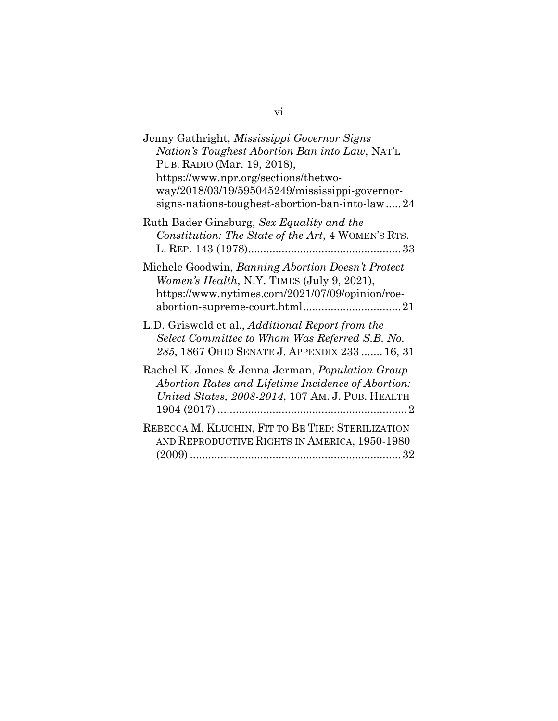| Jenny Gathright, Mississippi Governor Signs<br>Nation's Toughest Abortion Ban into Law, NAT'L<br>PUB. RADIO (Mar. 19, 2018),<br>https://www.npr.org/sections/thetwo-<br>way/2018/03/19/595045249/mississippi-governor-<br>signs-nations-toughest-abortion-ban-into-law24 |
|--------------------------------------------------------------------------------------------------------------------------------------------------------------------------------------------------------------------------------------------------------------------------|
| Ruth Bader Ginsburg, Sex Equality and the<br>Constitution: The State of the Art, 4 WOMEN'S RTS.                                                                                                                                                                          |
| Michele Goodwin, Banning Abortion Doesn't Protect<br>Women's Health, N.Y. TIMES (July 9, 2021),<br>https://www.nytimes.com/2021/07/09/opinion/roe-                                                                                                                       |
| L.D. Griswold et al., <i>Additional Report from the</i><br>Select Committee to Whom Was Referred S.B. No.<br>285, 1867 OHIO SENATE J. APPENDIX 233  16, 31                                                                                                               |
| Rachel K. Jones & Jenna Jerman, Population Group<br>Abortion Rates and Lifetime Incidence of Abortion:<br><i>United States, 2008-2014, 107 Am. J. PUB. HEALTH</i>                                                                                                        |
| REBECCA M. KLUCHIN, FIT TO BE TIED: STERILIZATION<br>AND REPRODUCTIVE RIGHTS IN AMERICA, 1950-1980                                                                                                                                                                       |

vi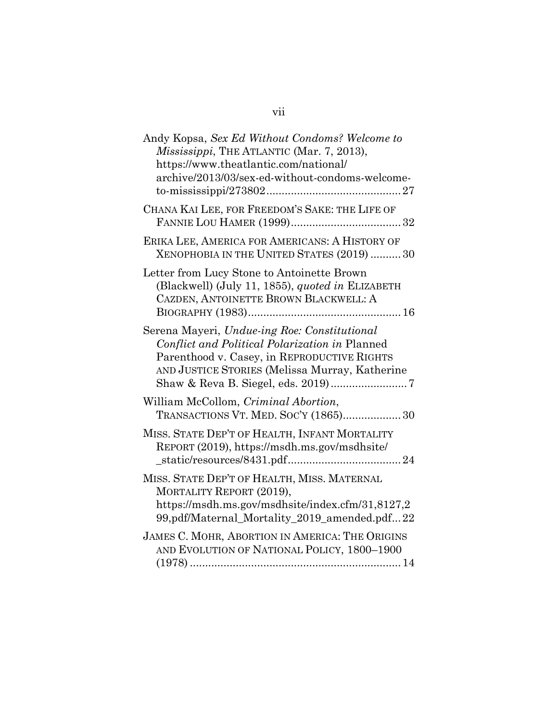| Andy Kopsa, Sex Ed Without Condoms? Welcome to<br>Mississippi, THE ATLANTIC (Mar. 7, 2013),<br>https://www.theatlantic.com/national/<br>archive/2013/03/sex-ed-without-condoms-welcome-         |
|-------------------------------------------------------------------------------------------------------------------------------------------------------------------------------------------------|
| CHANA KAI LEE, FOR FREEDOM'S SAKE: THE LIFE OF                                                                                                                                                  |
| ERIKA LEE, AMERICA FOR AMERICANS: A HISTORY OF<br>XENOPHOBIA IN THE UNITED STATES (2019)  30                                                                                                    |
| Letter from Lucy Stone to Antoinette Brown<br>(Blackwell) (July 11, 1855), quoted in ELIZABETH<br>CAZDEN, ANTOINETTE BROWN BLACKWELL: A                                                         |
| Serena Mayeri, Undue-ing Roe: Constitutional<br>Conflict and Political Polarization in Planned<br>Parenthood v. Casey, in REPRODUCTIVE RIGHTS<br>AND JUSTICE STORIES (Melissa Murray, Katherine |
| William McCollom, Criminal Abortion,<br>TRANSACTIONS VT. MED. SOC'Y (1865) 30                                                                                                                   |
| MISS. STATE DEP'T OF HEALTH, INFANT MORTALITY<br>REPORT (2019), https://msdh.ms.gov/msdhsite/                                                                                                   |
| MISS. STATE DEP'T OF HEALTH, MISS. MATERNAL<br>MORTALITY REPORT (2019),<br>https://msdh.ms.gov/msdhsite/index.cfm/31,8127,2<br>99,pdf/Maternal_Mortality_2019_amended.pdf22                     |
| JAMES C. MOHR, ABORTION IN AMERICA: THE ORIGINS<br>AND EVOLUTION OF NATIONAL POLICY, 1800-1900                                                                                                  |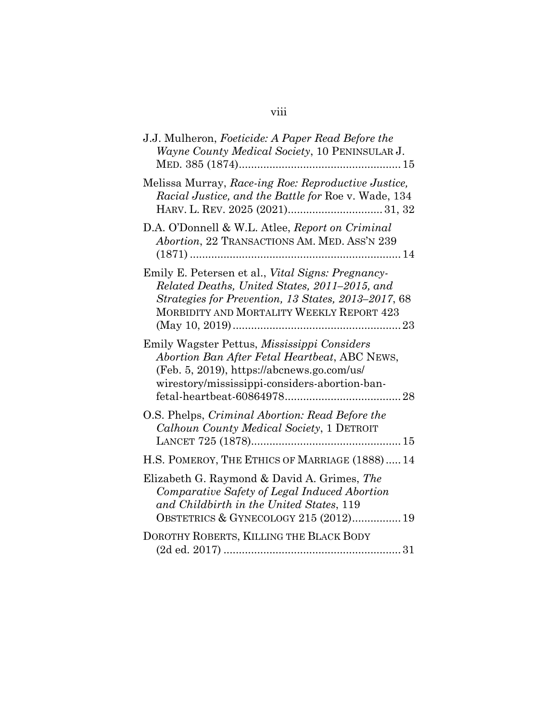## J.J. Mulheron, *Foeticide: A Paper Read Before the Wayne County Medical Society*, 10 PENINSULAR J. MED. 385 (1874).....................................................15 Melissa Murray, *Race-ing Roe: Reproductive Justice, Racial Justice, and the Battle for* Roe v. Wade, 134 HARV. L. REV. 2025 (2021)............................... 31, 32 D.A. O'Donnell & W.L. Atlee, *Report on Criminal Abortion*, 22 TRANSACTIONS AM. MED. ASS'N 239 (1871) .....................................................................14 Emily E. Petersen et al., *Vital Signs: Pregnancy-Related Deaths, United States, 2011–2015, and Strategies for Prevention, 13 States, 2013–2017*, 68 MORBIDITY AND MORTALITY WEEKLY REPORT 423 (May 10, 2019).......................................................23 Emily Wagster Pettus, *Mississippi Considers Abortion Ban After Fetal Heartbeat*, ABC NEWS, (Feb. 5, 2019), https://abcnews.go.com/us/ wirestory/mississippi-considers-abortion-banfetal-heartbeat-60864978......................................28 O.S. Phelps, *Criminal Abortion: Read Before the Calhoun County Medical Society*, 1 DETROIT LANCET 725 (1878).................................................15 H.S. POMEROY, THE ETHICS OF MARRIAGE (1888).....14 Elizabeth G. Raymond & David A. Grimes, *The Comparative Safety of Legal Induced Abortion and Childbirth in the United States*, 119 OBSTETRICS & GYNECOLOGY 215 (2012)................19

| DOROTHY ROBERTS, KILLING THE BLACK BODY |  |
|-----------------------------------------|--|
|                                         |  |

#### viii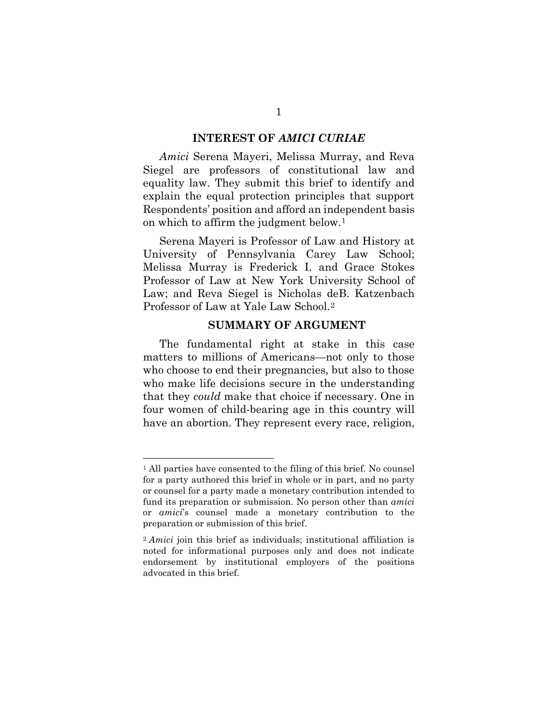#### **INTEREST OF** *AMICI CURIAE*

*Amici* Serena Mayeri, Melissa Murray, and Reva Siegel are professors of constitutional law and equality law. They submit this brief to identify and explain the equal protection principles that support Respondents' position and afford an independent basis on which to affirm the judgment below.[1](#page-11-0)

Serena Mayeri is Professor of Law and History at University of Pennsylvania Carey Law School; Melissa Murray is Frederick I. and Grace Stokes Professor of Law at New York University School of Law; and Reva Siegel is Nicholas deB. Katzenbach Professor of Law at Yale Law School.[2](#page-11-1)

#### **SUMMARY OF ARGUMENT**

The fundamental right at stake in this case matters to millions of Americans—not only to those who choose to end their pregnancies, but also to those who make life decisions secure in the understanding that they *could* make that choice if necessary. One in four women of child-bearing age in this country will have an abortion. They represent every race, religion,

<span id="page-11-0"></span><sup>1</sup> All parties have consented to the filing of this brief. No counsel for a party authored this brief in whole or in part, and no party or counsel for a party made a monetary contribution intended to fund its preparation or submission. No person other than *amici* or *amici*'s counsel made a monetary contribution to the preparation or submission of this brief.

<span id="page-11-1"></span><sup>2</sup> *Amici* join this brief as individuals; institutional affiliation is noted for informational purposes only and does not indicate endorsement by institutional employers of the positions advocated in this brief.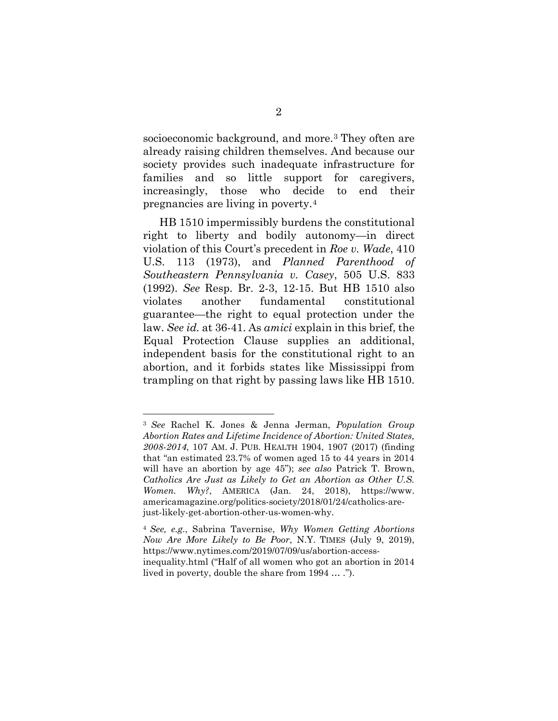socioeconomic background, and more.[3](#page-12-0) They often are already raising children themselves. And because our society provides such inadequate infrastructure for families and so little support for caregivers, increasingly, those who decide to end their pregnancies are living in poverty.[4](#page-12-1) 

HB 1510 impermissibly burdens the constitutional right to liberty and bodily autonomy—in direct violation of this Court's precedent in *Roe v. Wade*, 410 U.S. 113 (1973), and *Planned Parenthood of Southeastern Pennsylvania v. Casey*, 505 U.S. 833 (1992). *See* Resp. Br. 2-3, 12-15. But HB 1510 also violates another fundamental constitutional guarantee—the right to equal protection under the law. *See id.* at 36-41. As *amici* explain in this brief, the Equal Protection Clause supplies an additional, independent basis for the constitutional right to an abortion, and it forbids states like Mississippi from trampling on that right by passing laws like HB 1510.

<span id="page-12-0"></span><sup>3</sup> *See* Rachel K. Jones & Jenna Jerman, *Population Group Abortion Rates and Lifetime Incidence of Abortion: United States, 2008-2014*, 107 AM. J. PUB. HEALTH 1904, 1907 (2017) (finding that "an estimated 23.7% of women aged 15 to 44 years in 2014 will have an abortion by age 45"); *see also* Patrick T. Brown, *Catholics Are Just as Likely to Get an Abortion as Other U.S. Women. Why?*, AMERICA (Jan. 24, 2018), https://www. americamagazine.org/politics-society/2018/01/24/catholics-arejust-likely-get-abortion-other-us-women-why.

<span id="page-12-1"></span><sup>4</sup> *See, e.g.*, Sabrina Tavernise, *Why Women Getting Abortions Now Are More Likely to Be Poor*, N.Y. TIMES (July 9, 2019), https://www.nytimes.com/2019/07/09/us/abortion-accessinequality.html ("Half of all women who got an abortion in 2014 lived in poverty, double the share from 1994 … .").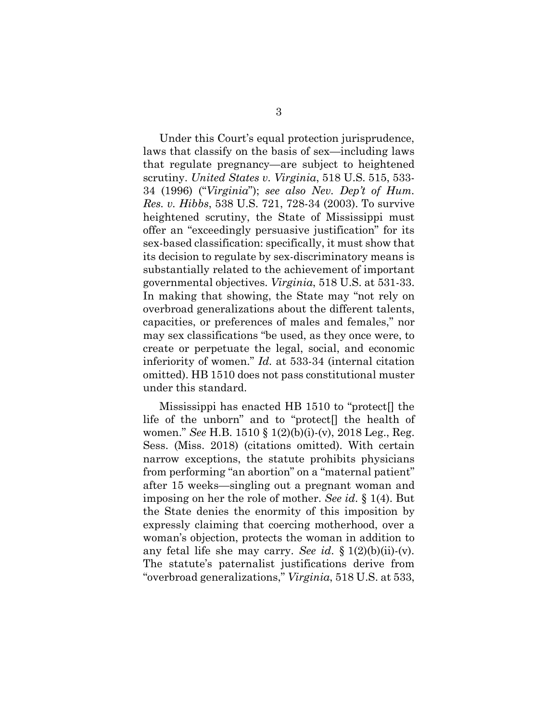Under this Court's equal protection jurisprudence, laws that classify on the basis of sex—including laws that regulate pregnancy—are subject to heightened scrutiny. *United States v. Virginia*, 518 U.S. 515, 533- 34 (1996) ("*Virginia*"); *see also Nev. Dep't of Hum. Res. v. Hibbs*, 538 U.S. 721, 728-34 (2003). To survive heightened scrutiny, the State of Mississippi must offer an "exceedingly persuasive justification" for its sex-based classification: specifically, it must show that its decision to regulate by sex-discriminatory means is substantially related to the achievement of important governmental objectives. *Virginia*, 518 U.S. at 531-33. In making that showing, the State may "not rely on overbroad generalizations about the different talents, capacities, or preferences of males and females," nor may sex classifications "be used, as they once were, to create or perpetuate the legal, social, and economic inferiority of women." *Id.* at 533-34 (internal citation omitted). HB 1510 does not pass constitutional muster under this standard.

Mississippi has enacted HB 1510 to "protect[] the life of the unborn" and to "protect[] the health of women." *See* H.B. 1510 § 1(2)(b)(i)-(v), 2018 Leg., Reg. Sess. (Miss. 2018) (citations omitted). With certain narrow exceptions, the statute prohibits physicians from performing "an abortion" on a "maternal patient" after 15 weeks—singling out a pregnant woman and imposing on her the role of mother. *See id*. § 1(4). But the State denies the enormity of this imposition by expressly claiming that coercing motherhood, over a woman's objection, protects the woman in addition to any fetal life she may carry. *See id*. § 1(2)(b)(ii)-(v). The statute's paternalist justifications derive from "overbroad generalizations," *Virginia*, 518 U.S. at 533,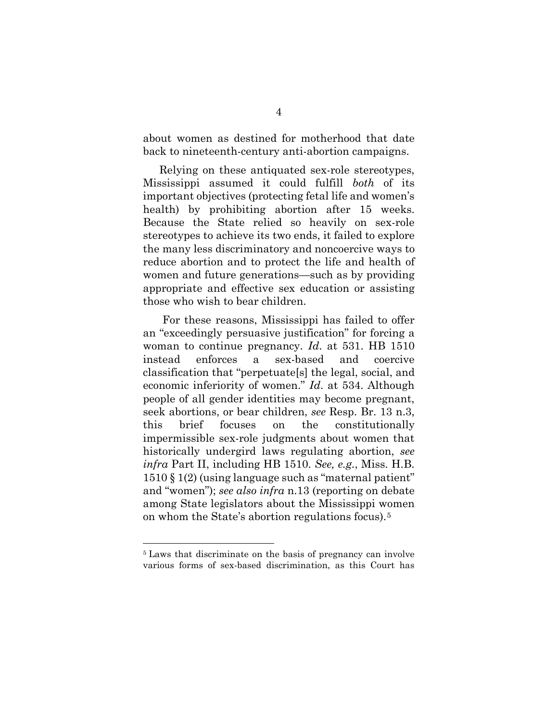about women as destined for motherhood that date back to nineteenth-century anti-abortion campaigns.

Relying on these antiquated sex-role stereotypes, Mississippi assumed it could fulfill *both* of its important objectives (protecting fetal life and women's health) by prohibiting abortion after 15 weeks. Because the State relied so heavily on sex-role stereotypes to achieve its two ends, it failed to explore the many less discriminatory and noncoercive ways to reduce abortion and to protect the life and health of women and future generations—such as by providing appropriate and effective sex education or assisting those who wish to bear children.

For these reasons, Mississippi has failed to offer an "exceedingly persuasive justification" for forcing a woman to continue pregnancy. *Id*. at 531. HB 1510 instead enforces a sex-based and coercive classification that "perpetuate[s] the legal, social, and economic inferiority of women." *Id*. at 534. Although people of all gender identities may become pregnant, seek abortions, or bear children, *see* Resp. Br. 13 n.3, this brief focuses on the constitutionally impermissible sex-role judgments about women that historically undergird laws regulating abortion, *see infra* Part II, including HB 1510. *See, e.g.*, Miss. H.B. 1510 § 1(2) (using language such as "maternal patient" and "women"); *see also infra* n.13 (reporting on debate among State legislators about the Mississippi women on whom the State's abortion regulations focus).[5](#page-14-0)

<span id="page-14-0"></span><sup>5</sup> Laws that discriminate on the basis of pregnancy can involve various forms of sex-based discrimination, as this Court has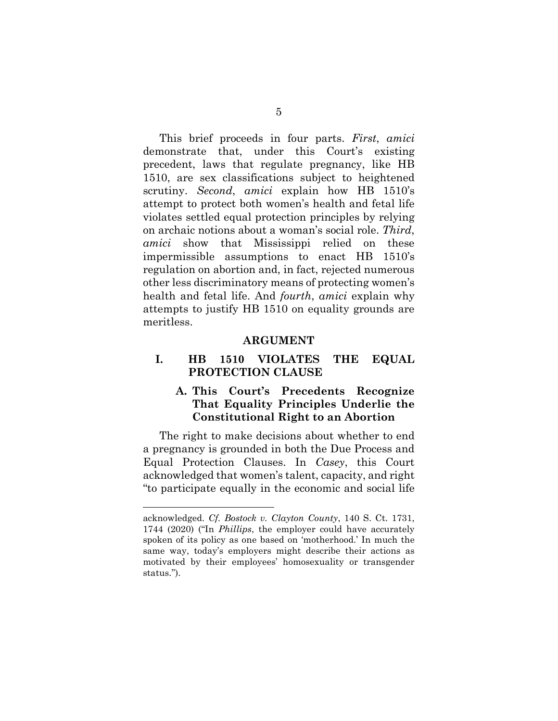This brief proceeds in four parts. *First*, *amici* demonstrate that, under this Court's existing precedent, laws that regulate pregnancy, like HB 1510, are sex classifications subject to heightened scrutiny. *Second*, *amici* explain how HB 1510's attempt to protect both women's health and fetal life violates settled equal protection principles by relying on archaic notions about a woman's social role. *Third*, *amici* show that Mississippi relied on these impermissible assumptions to enact HB 1510's regulation on abortion and, in fact, rejected numerous other less discriminatory means of protecting women's health and fetal life. And *fourth*, *amici* explain why attempts to justify HB 1510 on equality grounds are meritless.

#### **ARGUMENT**

### **I. HB 1510 VIOLATES THE EQUAL PROTECTION CLAUSE**

## **A. This Court's Precedents Recognize That Equality Principles Underlie the Constitutional Right to an Abortion**

The right to make decisions about whether to end a pregnancy is grounded in both the Due Process and Equal Protection Clauses. In *Casey*, this Court acknowledged that women's talent, capacity, and right "to participate equally in the economic and social life

acknowledged. *Cf. Bostock v. Clayton County*, 140 S. Ct. 1731, 1744 (2020) ("In *Phillips*, the employer could have accurately spoken of its policy as one based on 'motherhood.' In much the same way, today's employers might describe their actions as motivated by their employees' homosexuality or transgender status.").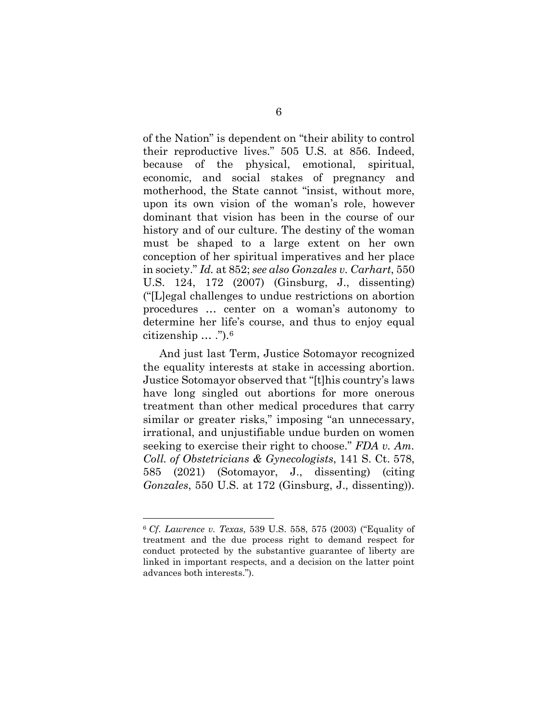of the Nation" is dependent on "their ability to control their reproductive lives." 505 U.S. at 856. Indeed, because of the physical, emotional, spiritual, economic, and social stakes of pregnancy and motherhood, the State cannot "insist, without more, upon its own vision of the woman's role, however dominant that vision has been in the course of our history and of our culture. The destiny of the woman must be shaped to a large extent on her own conception of her spiritual imperatives and her place in society." *Id.* at 852; *see also Gonzales v. Carhart*, 550 U.S. 124, 172 (2007) (Ginsburg, J., dissenting) ("[L]egal challenges to undue restrictions on abortion procedures … center on a woman's autonomy to determine her life's course, and thus to enjoy equal citizenship  $\ldots$  .").<sup>[6](#page-16-0)</sup>

And just last Term, Justice Sotomayor recognized the equality interests at stake in accessing abortion. Justice Sotomayor observed that "[t]his country's laws have long singled out abortions for more onerous treatment than other medical procedures that carry similar or greater risks," imposing "an unnecessary, irrational, and unjustifiable undue burden on women seeking to exercise their right to choose." *FDA v. Am. Coll. of Obstetricians & Gynecologists*, 141 S. Ct. 578, 585 (2021) (Sotomayor, J., dissenting) (citing *Gonzales*, 550 U.S. at 172 (Ginsburg, J., dissenting)).

<span id="page-16-0"></span><sup>6</sup> *Cf*. *Lawrence v. Texas*, 539 U.S. 558, 575 (2003) ("Equality of treatment and the due process right to demand respect for conduct protected by the substantive guarantee of liberty are linked in important respects, and a decision on the latter point advances both interests.").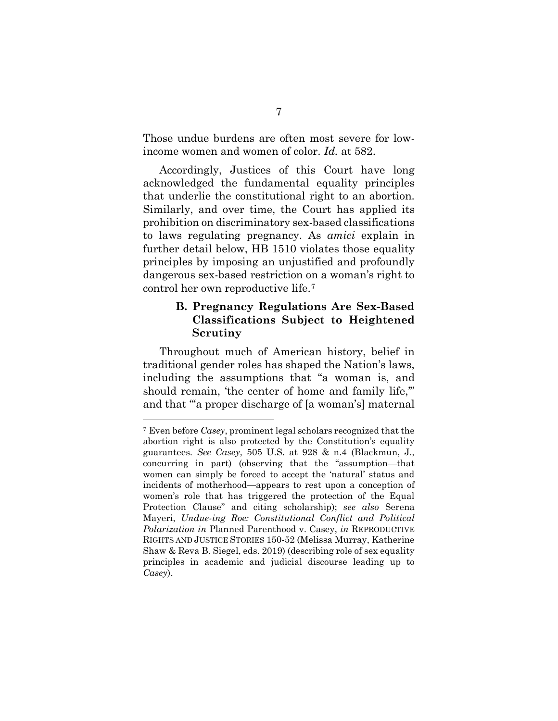Those undue burdens are often most severe for lowincome women and women of color. *Id.* at 582.

Accordingly, Justices of this Court have long acknowledged the fundamental equality principles that underlie the constitutional right to an abortion. Similarly, and over time, the Court has applied its prohibition on discriminatory sex-based classifications to laws regulating pregnancy. As *amici* explain in further detail below, HB 1510 violates those equality principles by imposing an unjustified and profoundly dangerous sex-based restriction on a woman's right to control her own reproductive life[.7](#page-17-0)

### **B. Pregnancy Regulations Are Sex-Based Classifications Subject to Heightened Scrutiny**

Throughout much of American history, belief in traditional gender roles has shaped the Nation's laws, including the assumptions that "a woman is, and should remain, 'the center of home and family life,'" and that "'a proper discharge of [a woman's] maternal

<span id="page-17-0"></span><sup>7</sup> Even before *Casey*, prominent legal scholars recognized that the abortion right is also protected by the Constitution's equality guarantees. *See Casey*, 505 U.S. at 928 & n.4 (Blackmun, J., concurring in part) (observing that the "assumption—that women can simply be forced to accept the 'natural' status and incidents of motherhood—appears to rest upon a conception of women's role that has triggered the protection of the Equal Protection Clause" and citing scholarship); *see also* Serena Mayeri, *Undue-ing Roe: Constitutional Conflict and Political Polarization in* Planned Parenthood v. Casey, *in* REPRODUCTIVE RIGHTS AND JUSTICE STORIES 150-52 (Melissa Murray, Katherine Shaw & Reva B. Siegel, eds. 2019) (describing role of sex equality principles in academic and judicial discourse leading up to *Casey*).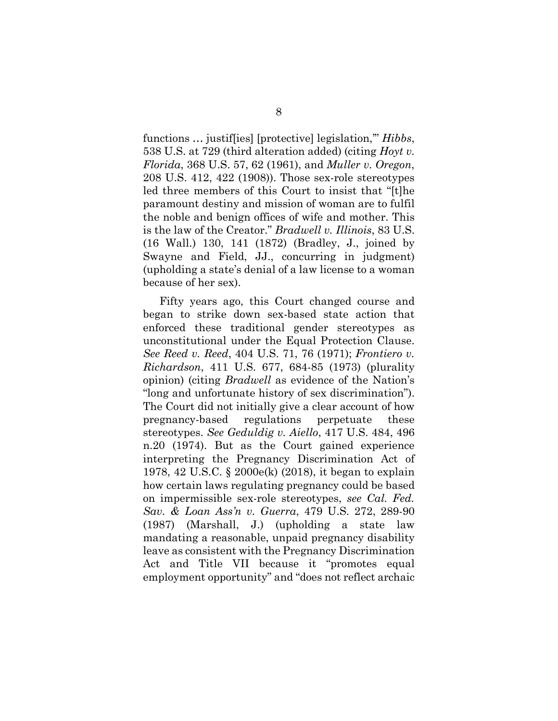functions … justif[ies] [protective] legislation,'" *Hibbs*, 538 U.S. at 729 (third alteration added) (citing *Hoyt v. Florida*, 368 U.S. 57, 62 (1961), and *Muller v. Oregon*, 208 U.S. 412, 422 (1908)). Those sex-role stereotypes led three members of this Court to insist that "[t]he paramount destiny and mission of woman are to fulfil the noble and benign offices of wife and mother. This is the law of the Creator." *Bradwell v. Illinois*, 83 U.S. (16 Wall.) 130, 141 (1872) (Bradley, J., joined by Swayne and Field, JJ., concurring in judgment) (upholding a state's denial of a law license to a woman because of her sex).

Fifty years ago, this Court changed course and began to strike down sex-based state action that enforced these traditional gender stereotypes as unconstitutional under the Equal Protection Clause. *See Reed v. Reed*, 404 U.S. 71, 76 (1971); *Frontiero v. Richardson*, 411 U.S. 677, 684-85 (1973) (plurality opinion) (citing *Bradwell* as evidence of the Nation's "long and unfortunate history of sex discrimination"). The Court did not initially give a clear account of how pregnancy-based regulations perpetuate these stereotypes. *See Geduldig v. Aiello*, 417 U.S. 484, 496 n.20 (1974). But as the Court gained experience interpreting the Pregnancy Discrimination Act of 1978, 42 U.S.C. § 2000e(k) (2018), it began to explain how certain laws regulating pregnancy could be based on impermissible sex-role stereotypes, *see Cal. Fed. Sav. & Loan Ass'n v. Guerra*, 479 U.S. 272, 289-90 (1987) (Marshall, J.) (upholding a state law mandating a reasonable, unpaid pregnancy disability leave as consistent with the Pregnancy Discrimination Act and Title VII because it "promotes equal employment opportunity" and "does not reflect archaic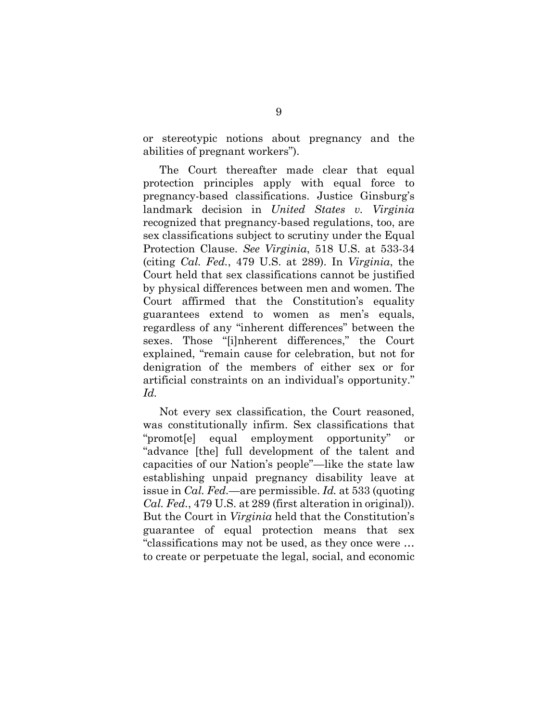or stereotypic notions about pregnancy and the abilities of pregnant workers").

The Court thereafter made clear that equal protection principles apply with equal force to pregnancy-based classifications. Justice Ginsburg's landmark decision in *United States v. Virginia* recognized that pregnancy-based regulations, too, are sex classifications subject to scrutiny under the Equal Protection Clause. *See Virginia*, 518 U.S. at 533-34 (citing *Cal. Fed.*, 479 U.S. at 289). In *Virginia*, the Court held that sex classifications cannot be justified by physical differences between men and women. The Court affirmed that the Constitution's equality guarantees extend to women as men's equals, regardless of any "inherent differences" between the sexes. Those "[i]nherent differences," the Court explained, "remain cause for celebration, but not for denigration of the members of either sex or for artificial constraints on an individual's opportunity." *Id.*

Not every sex classification, the Court reasoned, was constitutionally infirm. Sex classifications that "promot[e] equal employment opportunity" or "advance [the] full development of the talent and capacities of our Nation's people"—like the state law establishing unpaid pregnancy disability leave at issue in *Cal. Fed.*—are permissible. *Id.* at 533 (quoting *Cal. Fed.*, 479 U.S. at 289 (first alteration in original)). But the Court in *Virginia* held that the Constitution's guarantee of equal protection means that sex "classifications may not be used, as they once were … to create or perpetuate the legal, social, and economic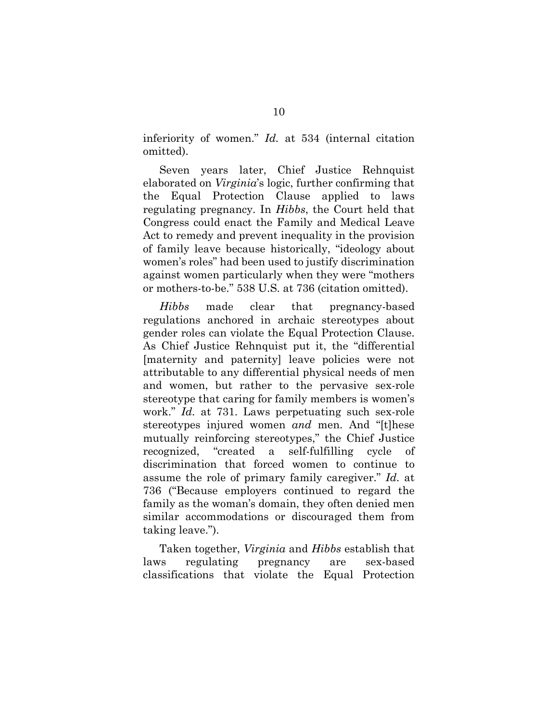inferiority of women." *Id.* at 534 (internal citation omitted).

Seven years later, Chief Justice Rehnquist elaborated on *Virginia*'s logic, further confirming that the Equal Protection Clause applied to laws regulating pregnancy. In *Hibbs*, the Court held that Congress could enact the Family and Medical Leave Act to remedy and prevent inequality in the provision of family leave because historically, "ideology about women's roles" had been used to justify discrimination against women particularly when they were "mothers or mothers-to-be." 538 U.S. at 736 (citation omitted).

*Hibbs* made clear that pregnancy-based regulations anchored in archaic stereotypes about gender roles can violate the Equal Protection Clause. As Chief Justice Rehnquist put it, the "differential [maternity and paternity] leave policies were not attributable to any differential physical needs of men and women, but rather to the pervasive sex-role stereotype that caring for family members is women's work." *Id.* at 731. Laws perpetuating such sex-role stereotypes injured women *and* men. And "[t]hese mutually reinforcing stereotypes," the Chief Justice recognized, "created a self-fulfilling cycle of discrimination that forced women to continue to assume the role of primary family caregiver." *Id.* at 736 ("Because employers continued to regard the family as the woman's domain, they often denied men similar accommodations or discouraged them from taking leave.").

Taken together, *Virginia* and *Hibbs* establish that laws regulating pregnancy are sex-based classifications that violate the Equal Protection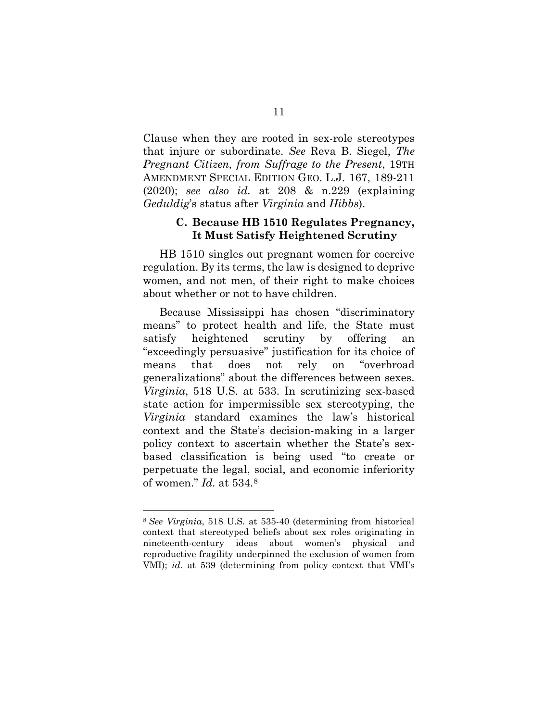Clause when they are rooted in sex-role stereotypes that injure or subordinate. *See* Reva B. Siegel, *The Pregnant Citizen, from Suffrage to the Present*, 19TH AMENDMENT SPECIAL EDITION GEO. L.J. 167, 189-211 (2020); *see also id.* at 208 & n.229 (explaining *Geduldig*'s status after *Virginia* and *Hibbs*).

#### **C. Because HB 1510 Regulates Pregnancy, It Must Satisfy Heightened Scrutiny**

HB 1510 singles out pregnant women for coercive regulation. By its terms, the law is designed to deprive women, and not men, of their right to make choices about whether or not to have children.

Because Mississippi has chosen "discriminatory means" to protect health and life, the State must satisfy heightened scrutiny by offering "exceedingly persuasive" justification for its choice of means that does not rely on "overbroad generalizations" about the differences between sexes. *Virginia*, 518 U.S. at 533. In scrutinizing sex-based state action for impermissible sex stereotyping, the *Virginia* standard examines the law's historical context and the State's decision-making in a larger policy context to ascertain whether the State's sexbased classification is being used "to create or perpetuate the legal, social, and economic inferiority of women." *Id.* at 534[.8](#page-21-0)

<span id="page-21-0"></span><sup>8</sup> *See Virginia*, 518 U.S. at 535-40 (determining from historical context that stereotyped beliefs about sex roles originating in nineteenth-century ideas about women's physical and reproductive fragility underpinned the exclusion of women from VMI); *id.* at 539 (determining from policy context that VMI's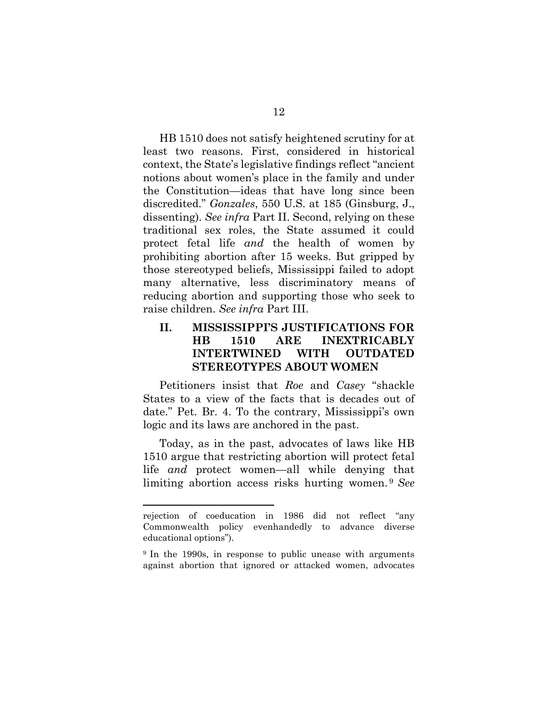HB 1510 does not satisfy heightened scrutiny for at least two reasons. First, considered in historical context, the State's legislative findings reflect "ancient notions about women's place in the family and under the Constitution—ideas that have long since been discredited." *Gonzales*, 550 U.S. at 185 (Ginsburg, J., dissenting). *See infra* Part II. Second, relying on these traditional sex roles, the State assumed it could protect fetal life *and* the health of women by prohibiting abortion after 15 weeks. But gripped by those stereotyped beliefs, Mississippi failed to adopt many alternative, less discriminatory means of reducing abortion and supporting those who seek to raise children. *See infra* Part III.

### **II. MISSISSIPPI'S JUSTIFICATIONS FOR HB 1510 ARE INEXTRICABLY INTERTWINED WITH OUTDATED STEREOTYPES ABOUT WOMEN**

Petitioners insist that *Roe* and *Casey* "shackle States to a view of the facts that is decades out of date." Pet. Br. 4. To the contrary, Mississippi's own logic and its laws are anchored in the past.

Today, as in the past, advocates of laws like HB 1510 argue that restricting abortion will protect fetal life *and* protect women—all while denying that limiting abortion access risks hurting women. [9](#page-22-0) *See*

rejection of coeducation in 1986 did not reflect "any Commonwealth policy evenhandedly to advance diverse educational options").

<span id="page-22-0"></span><sup>9</sup> In the 1990s, in response to public unease with arguments against abortion that ignored or attacked women, advocates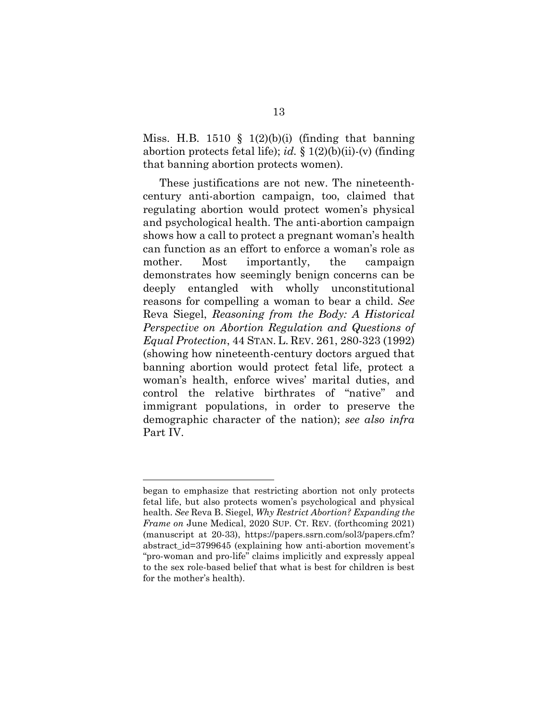Miss. H.B. 1510 § 1(2)(b)(i) (finding that banning abortion protects fetal life); *id.* § 1(2)(b)(ii)-(v) (finding that banning abortion protects women).

These justifications are not new. The nineteenthcentury anti-abortion campaign, too, claimed that regulating abortion would protect women's physical and psychological health. The anti-abortion campaign shows how a call to protect a pregnant woman's health can function as an effort to enforce a woman's role as mother. Most importantly, the campaign demonstrates how seemingly benign concerns can be deeply entangled with wholly unconstitutional reasons for compelling a woman to bear a child. *See* Reva Siegel, *Reasoning from the Body: A Historical Perspective on Abortion Regulation and Questions of Equal Protection*, 44 STAN. L. REV. 261, 280-323 (1992) (showing how nineteenth-century doctors argued that banning abortion would protect fetal life, protect a woman's health, enforce wives' marital duties, and control the relative birthrates of "native" and immigrant populations, in order to preserve the demographic character of the nation); *see also infra* Part IV.

began to emphasize that restricting abortion not only protects fetal life, but also protects women's psychological and physical health. *See* Reva B. Siegel, *Why Restrict Abortion? Expanding the Frame on* June Medical, 2020 SUP. CT. REV. (forthcoming 2021) (manuscript at 20-33), https://papers.ssrn.com/sol3/papers.cfm? abstract id=3799645 (explaining how anti-abortion movement's "pro-woman and pro-life" claims implicitly and expressly appeal to the sex role-based belief that what is best for children is best for the mother's health).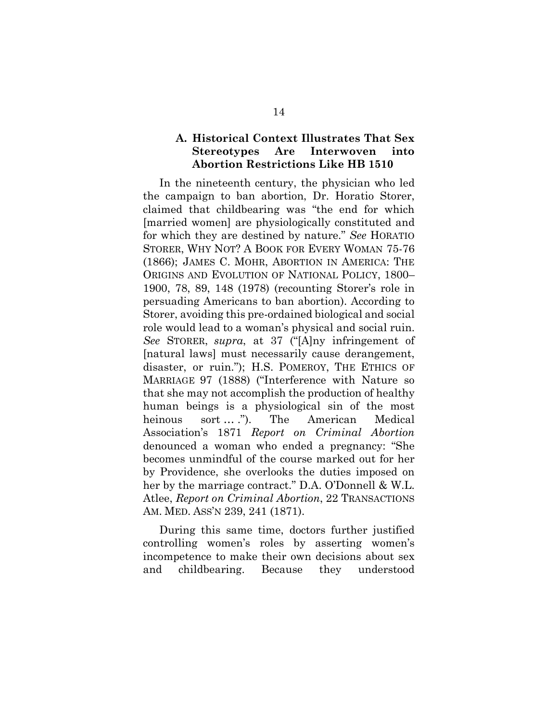### **A. Historical Context Illustrates That Sex Stereotypes Are Interwoven into Abortion Restrictions Like HB 1510**

In the nineteenth century, the physician who led the campaign to ban abortion, Dr. Horatio Storer, claimed that childbearing was "the end for which [married women] are physiologically constituted and for which they are destined by nature." *See* HORATIO STORER, WHY NOT? A BOOK FOR EVERY WOMAN 75-76 (1866); JAMES C. MOHR, ABORTION IN AMERICA: THE ORIGINS AND EVOLUTION OF NATIONAL POLICY, 1800– 1900, 78, 89, 148 (1978) (recounting Storer's role in persuading Americans to ban abortion). According to Storer, avoiding this pre-ordained biological and social role would lead to a woman's physical and social ruin. *See* STORER, *supra*, at 37 ("[A]ny infringement of [natural laws] must necessarily cause derangement, disaster, or ruin."); H.S. POMEROY, THE ETHICS OF MARRIAGE 97 (1888) ("Interference with Nature so that she may not accomplish the production of healthy human beings is a physiological sin of the most heinous sort ... ."). The American Medical Association's 1871 *Report on Criminal Abortion* denounced a woman who ended a pregnancy: "She becomes unmindful of the course marked out for her by Providence, she overlooks the duties imposed on her by the marriage contract." D.A. O'Donnell & W.L. Atlee, *Report on Criminal Abortion*, 22 TRANSACTIONS AM. MED. ASS'N 239, 241 (1871).

During this same time, doctors further justified controlling women's roles by asserting women's incompetence to make their own decisions about sex and childbearing. Because they understood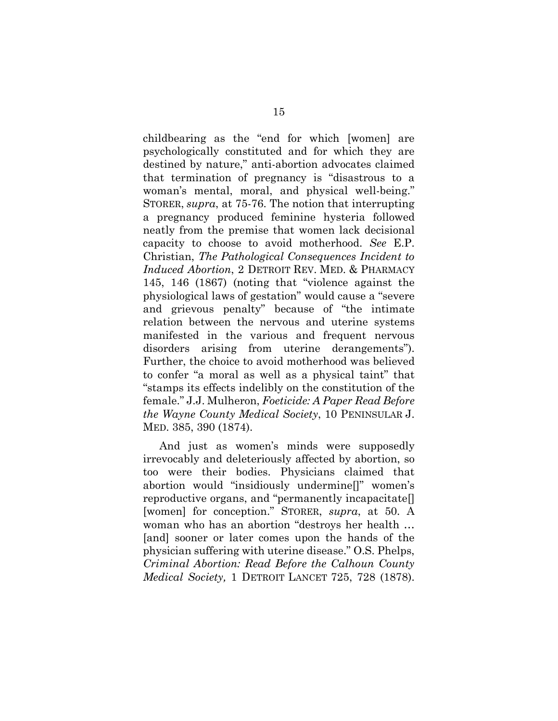childbearing as the "end for which [women] are psychologically constituted and for which they are destined by nature," anti-abortion advocates claimed that termination of pregnancy is "disastrous to a woman's mental, moral, and physical well-being." STORER, *supra*, at 75-76. The notion that interrupting a pregnancy produced feminine hysteria followed neatly from the premise that women lack decisional capacity to choose to avoid motherhood. *See* E.P. Christian, *The Pathological Consequences Incident to Induced Abortion*, 2 DETROIT REV. MED. & PHARMACY 145, 146 (1867) (noting that "violence against the physiological laws of gestation" would cause a "severe and grievous penalty" because of "the intimate relation between the nervous and uterine systems manifested in the various and frequent nervous disorders arising from uterine derangements"). Further, the choice to avoid motherhood was believed to confer "a moral as well as a physical taint" that "stamps its effects indelibly on the constitution of the female." J.J. Mulheron, *Foeticide: A Paper Read Before the Wayne County Medical Society*, 10 PENINSULAR J. MED. 385, 390 (1874).

And just as women's minds were supposedly irrevocably and deleteriously affected by abortion, so too were their bodies. Physicians claimed that abortion would "insidiously undermine[]" women's reproductive organs, and "permanently incapacitate[] [women] for conception." STORER, *supra*, at 50. A woman who has an abortion "destroys her health … [and] sooner or later comes upon the hands of the physician suffering with uterine disease." O.S. Phelps, *Criminal Abortion: Read Before the Calhoun County Medical Society,* 1 DETROIT LANCET 725, 728 (1878).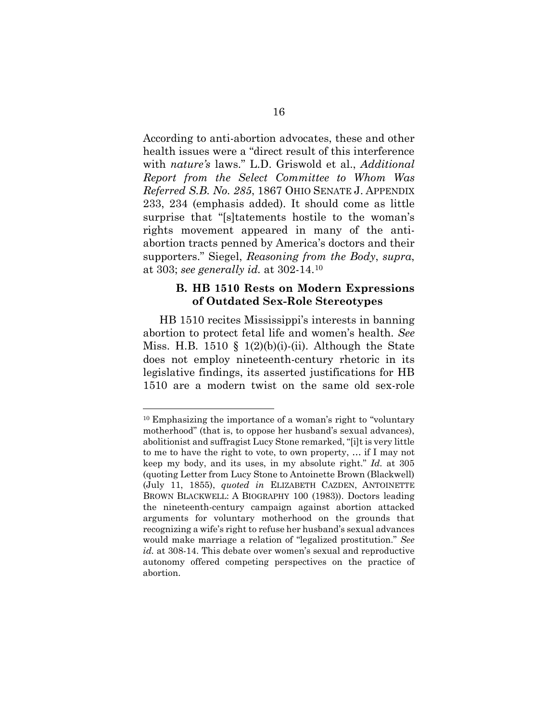According to anti-abortion advocates, these and other health issues were a "direct result of this interference with *nature's* laws." L.D. Griswold et al., *Additional Report from the Select Committee to Whom Was Referred S.B. No. 285*, 1867 OHIO SENATE J. APPENDIX 233, 234 (emphasis added). It should come as little surprise that "[s]tatements hostile to the woman's rights movement appeared in many of the antiabortion tracts penned by America's doctors and their supporters." Siegel, *Reasoning from the Body*, *supra*, at 303; *see generally id.* at 302-14[.10](#page-26-0)

#### **B. HB 1510 Rests on Modern Expressions of Outdated Sex-Role Stereotypes**

HB 1510 recites Mississippi's interests in banning abortion to protect fetal life and women's health. *See* Miss. H.B. 1510 § 1(2)(b)(i)-(ii). Although the State does not employ nineteenth-century rhetoric in its legislative findings, its asserted justifications for HB 1510 are a modern twist on the same old sex-role

<span id="page-26-0"></span><sup>10</sup> Emphasizing the importance of a woman's right to "voluntary motherhood" (that is, to oppose her husband's sexual advances), abolitionist and suffragist Lucy Stone remarked, "[i]t is very little to me to have the right to vote, to own property, … if I may not keep my body, and its uses, in my absolute right." *Id.* at 305 (quoting Letter from Lucy Stone to Antoinette Brown (Blackwell) (July 11, 1855), *quoted in* ELIZABETH CAZDEN, ANTOINETTE BROWN BLACKWELL: A BIOGRAPHY 100 (1983)). Doctors leading the nineteenth-century campaign against abortion attacked arguments for voluntary motherhood on the grounds that recognizing a wife's right to refuse her husband's sexual advances would make marriage a relation of "legalized prostitution." *See id.* at 308-14. This debate over women's sexual and reproductive autonomy offered competing perspectives on the practice of abortion.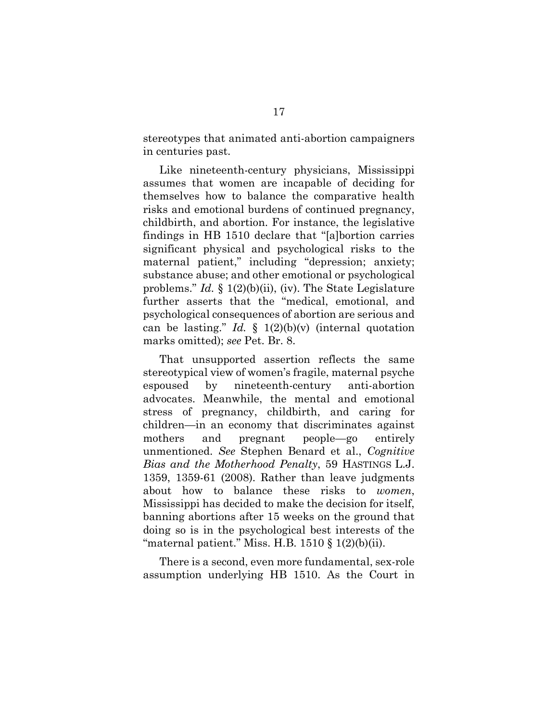stereotypes that animated anti-abortion campaigners in centuries past.

Like nineteenth-century physicians, Mississippi assumes that women are incapable of deciding for themselves how to balance the comparative health risks and emotional burdens of continued pregnancy, childbirth, and abortion. For instance, the legislative findings in HB 1510 declare that "[a]bortion carries significant physical and psychological risks to the maternal patient," including "depression; anxiety; substance abuse; and other emotional or psychological problems." *Id.* § 1(2)(b)(ii), (iv). The State Legislature further asserts that the "medical, emotional, and psychological consequences of abortion are serious and can be lasting." *Id.*  $\oint$  1(2)(b)(v) (internal quotation marks omitted); *see* Pet. Br. 8.

That unsupported assertion reflects the same stereotypical view of women's fragile, maternal psyche espoused by nineteenth-century anti-abortion advocates. Meanwhile, the mental and emotional stress of pregnancy, childbirth, and caring for children—in an economy that discriminates against mothers and pregnant people—go entirely unmentioned. *See* Stephen Benard et al., *Cognitive Bias and the Motherhood Penalty*, 59 HASTINGS L.J. 1359, 1359-61 (2008). Rather than leave judgments about how to balance these risks to *women*, Mississippi has decided to make the decision for itself, banning abortions after 15 weeks on the ground that doing so is in the psychological best interests of the "maternal patient." Miss. H.B.  $1510 \text{ }$ §  $1(2)(b)(ii)$ .

There is a second, even more fundamental, sex-role assumption underlying HB 1510. As the Court in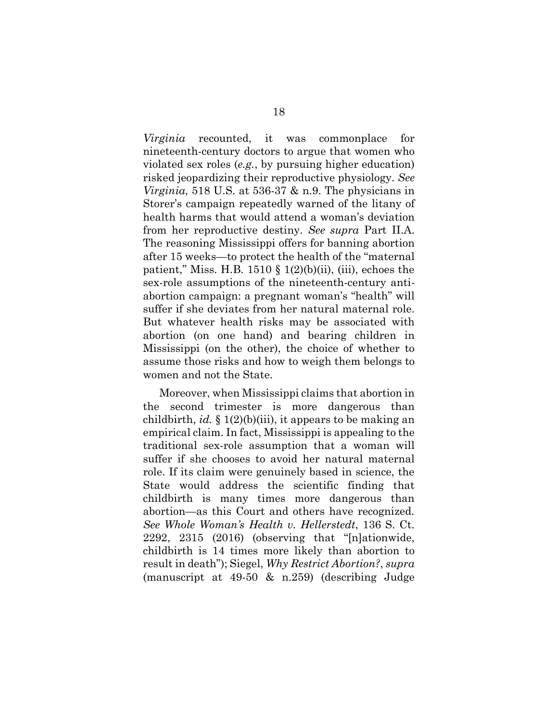*Virginia* recounted, it was commonplace for nineteenth-century doctors to argue that women who violated sex roles (*e.g.*, by pursuing higher education) risked jeopardizing their reproductive physiology. *See Virginia*, 518 U.S. at 536-37 & n.9. The physicians in Storer's campaign repeatedly warned of the litany of health harms that would attend a woman's deviation from her reproductive destiny. *See supra* Part II.A. The reasoning Mississippi offers for banning abortion after 15 weeks—to protect the health of the "maternal patient," Miss. H.B. 1510  $\S$  1(2)(b)(ii), (iii), echoes the sex-role assumptions of the nineteenth-century antiabortion campaign: a pregnant woman's "health" will suffer if she deviates from her natural maternal role. But whatever health risks may be associated with abortion (on one hand) and bearing children in Mississippi (on the other), the choice of whether to assume those risks and how to weigh them belongs to women and not the State.

Moreover, when Mississippi claims that abortion in the second trimester is more dangerous than childbirth, *id.* § 1(2)(b)(iii), it appears to be making an empirical claim. In fact, Mississippi is appealing to the traditional sex-role assumption that a woman will suffer if she chooses to avoid her natural maternal role. If its claim were genuinely based in science, the State would address the scientific finding that childbirth is many times more dangerous than abortion—as this Court and others have recognized. *See Whole Woman's Health v. Hellerstedt*, 136 S. Ct. 2292, 2315 (2016) (observing that "[n]ationwide, childbirth is 14 times more likely than abortion to result in death"); Siegel, *Why Restrict Abortion?*, *supra* (manuscript at 49-50 & n.259) (describing Judge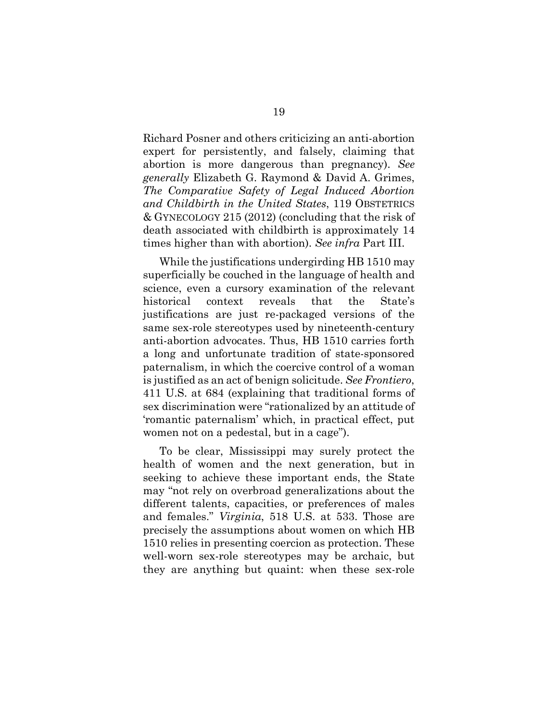Richard Posner and others criticizing an anti-abortion expert for persistently, and falsely, claiming that abortion is more dangerous than pregnancy). *See generally* Elizabeth G. Raymond & David A. Grimes, *The Comparative Safety of Legal Induced Abortion and Childbirth in the United States*, 119 OBSTETRICS & GYNECOLOGY 215 (2012) (concluding that the risk of death associated with childbirth is approximately 14 times higher than with abortion). *See infra* Part III.

While the justifications undergirding HB 1510 may superficially be couched in the language of health and science, even a cursory examination of the relevant historical context reveals that the State's justifications are just re-packaged versions of the same sex-role stereotypes used by nineteenth-century anti-abortion advocates. Thus, HB 1510 carries forth a long and unfortunate tradition of state-sponsored paternalism, in which the coercive control of a woman is justified as an act of benign solicitude. *See Frontiero*, 411 U.S. at 684 (explaining that traditional forms of sex discrimination were "rationalized by an attitude of 'romantic paternalism' which, in practical effect, put women not on a pedestal, but in a cage").

To be clear, Mississippi may surely protect the health of women and the next generation, but in seeking to achieve these important ends, the State may "not rely on overbroad generalizations about the different talents, capacities, or preferences of males and females." *Virginia*, 518 U.S. at 533. Those are precisely the assumptions about women on which HB 1510 relies in presenting coercion as protection. These well-worn sex-role stereotypes may be archaic, but they are anything but quaint: when these sex-role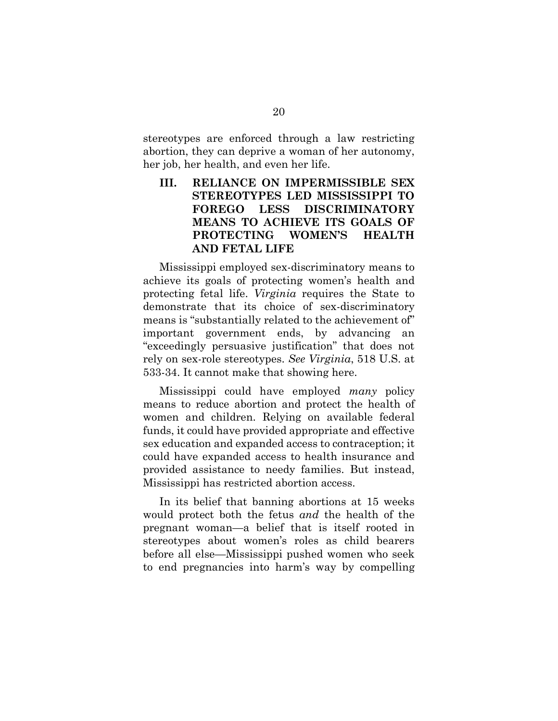stereotypes are enforced through a law restricting abortion, they can deprive a woman of her autonomy, her job, her health, and even her life.

## **III. RELIANCE ON IMPERMISSIBLE SEX STEREOTYPES LED MISSISSIPPI TO FOREGO LESS DISCRIMINATORY MEANS TO ACHIEVE ITS GOALS OF PROTECTING WOMEN'S HEALTH AND FETAL LIFE**

Mississippi employed sex-discriminatory means to achieve its goals of protecting women's health and protecting fetal life. *Virginia* requires the State to demonstrate that its choice of sex-discriminatory means is "substantially related to the achievement of" important government ends, by advancing an "exceedingly persuasive justification" that does not rely on sex-role stereotypes. *See Virginia*, 518 U.S. at 533-34. It cannot make that showing here.

Mississippi could have employed *many* policy means to reduce abortion and protect the health of women and children. Relying on available federal funds, it could have provided appropriate and effective sex education and expanded access to contraception; it could have expanded access to health insurance and provided assistance to needy families. But instead, Mississippi has restricted abortion access.

In its belief that banning abortions at 15 weeks would protect both the fetus *and* the health of the pregnant woman—a belief that is itself rooted in stereotypes about women's roles as child bearers before all else—Mississippi pushed women who seek to end pregnancies into harm's way by compelling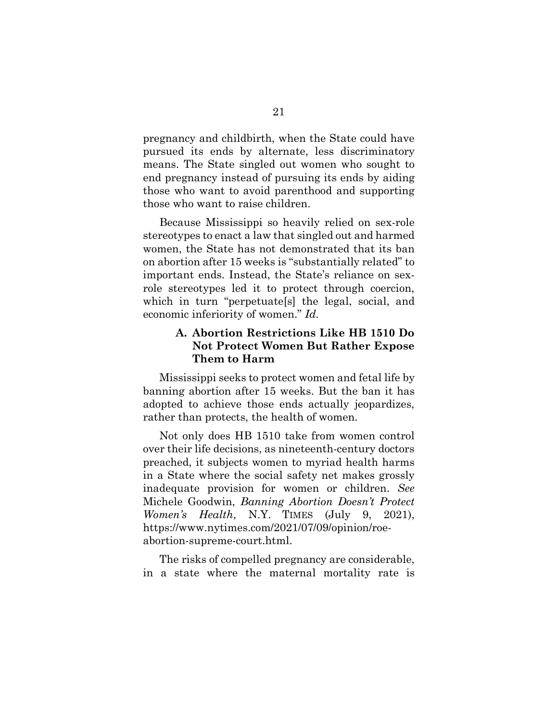pregnancy and childbirth, when the State could have pursued its ends by alternate, less discriminatory means. The State singled out women who sought to end pregnancy instead of pursuing its ends by aiding those who want to avoid parenthood and supporting those who want to raise children.

Because Mississippi so heavily relied on sex-role stereotypes to enact a law that singled out and harmed women, the State has not demonstrated that its ban on abortion after 15 weeks is "substantially related" to important ends. Instead, the State's reliance on sexrole stereotypes led it to protect through coercion, which in turn "perpetuate[s] the legal, social, and economic inferiority of women." *Id.*

### **A. Abortion Restrictions Like HB 1510 Do Not Protect Women But Rather Expose Them to Harm**

Mississippi seeks to protect women and fetal life by banning abortion after 15 weeks. But the ban it has adopted to achieve those ends actually jeopardizes, rather than protects, the health of women.

Not only does HB 1510 take from women control over their life decisions, as nineteenth-century doctors preached, it subjects women to myriad health harms in a State where the social safety net makes grossly inadequate provision for women or children. *See*  Michele Goodwin, *Banning Abortion Doesn't Protect Women's Health*, N.Y. TIMES (July 9, 2021), https://www.nytimes.com/2021/07/09/opinion/roeabortion-supreme-court.html.

The risks of compelled pregnancy are considerable, in a state where the maternal mortality rate is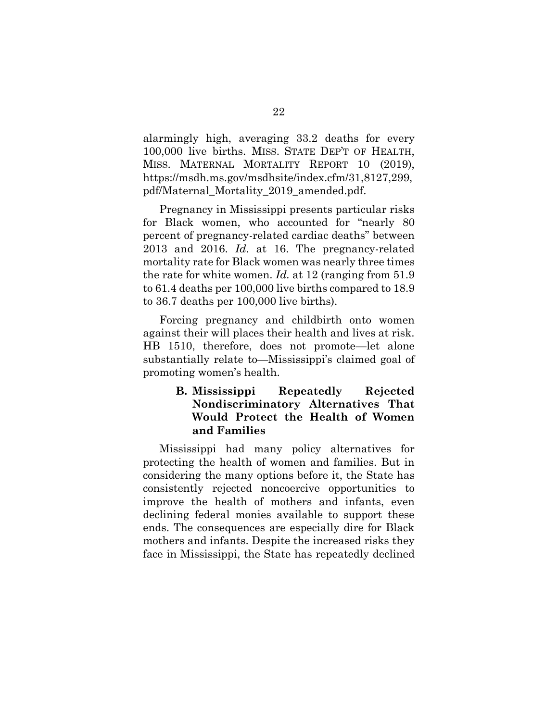alarmingly high, averaging 33.2 deaths for every 100,000 live births. MISS. STATE DEP'T OF HEALTH, MISS. MATERNAL MORTALITY REPORT 10 (2019), https://msdh.ms.gov/msdhsite/index.cfm/31,8127,299, pdf/Maternal\_Mortality\_2019\_amended.pdf.

Pregnancy in Mississippi presents particular risks for Black women, who accounted for "nearly 80 percent of pregnancy-related cardiac deaths" between 2013 and 2016. *Id.* at 16. The pregnancy-related mortality rate for Black women was nearly three times the rate for white women. *Id.* at 12 (ranging from 51.9 to 61.4 deaths per 100,000 live births compared to 18.9 to 36.7 deaths per 100,000 live births).

Forcing pregnancy and childbirth onto women against their will places their health and lives at risk. HB 1510, therefore, does not promote—let alone substantially relate to—Mississippi's claimed goal of promoting women's health.

### **B. Mississippi Repeatedly Rejected Nondiscriminatory Alternatives That Would Protect the Health of Women and Families**

Mississippi had many policy alternatives for protecting the health of women and families. But in considering the many options before it, the State has consistently rejected noncoercive opportunities to improve the health of mothers and infants, even declining federal monies available to support these ends. The consequences are especially dire for Black mothers and infants. Despite the increased risks they face in Mississippi, the State has repeatedly declined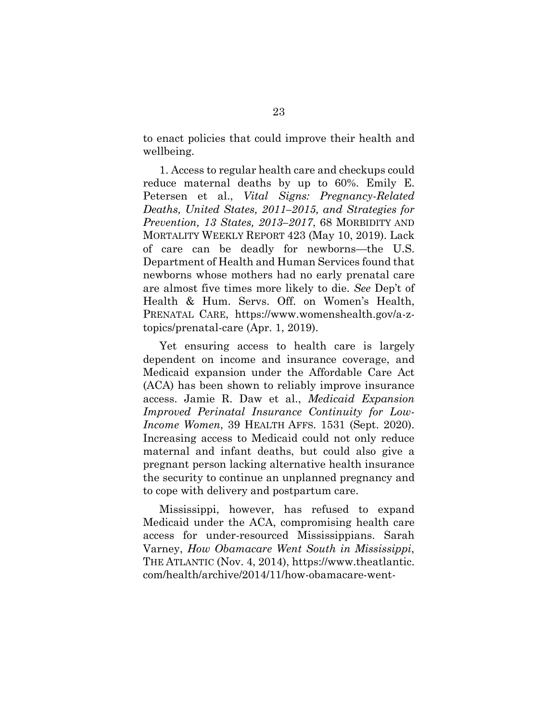to enact policies that could improve their health and wellbeing.

1. Access to regular health care and checkups could reduce maternal deaths by up to 60%. Emily E. Petersen et al., *Vital Signs: Pregnancy-Related Deaths, United States, 2011–2015, and Strategies for Prevention, 13 States, 2013–2017*, 68 MORBIDITY AND MORTALITY WEEKLY REPORT 423 (May 10, 2019). Lack of care can be deadly for newborns—the U.S. Department of Health and Human Services found that newborns whose mothers had no early prenatal care are almost five times more likely to die. *See* Dep't of Health & Hum. Servs. Off. on Women's Health, PRENATAL CARE, https://www.womenshealth.gov/a-ztopics/prenatal-care (Apr. 1, 2019).

Yet ensuring access to health care is largely dependent on income and insurance coverage, and Medicaid expansion under the Affordable Care Act (ACA) has been shown to reliably improve insurance access. Jamie R. Daw et al., *Medicaid Expansion Improved Perinatal Insurance Continuity for Low-Income Women*, 39 HEALTH AFFS. 1531 (Sept. 2020). Increasing access to Medicaid could not only reduce maternal and infant deaths, but could also give a pregnant person lacking alternative health insurance the security to continue an unplanned pregnancy and to cope with delivery and postpartum care.

Mississippi, however, has refused to expand Medicaid under the ACA, compromising health care access for under-resourced Mississippians. Sarah Varney, *How Obamacare Went South in Mississippi*, THE ATLANTIC (Nov. 4, 2014), https://www.theatlantic. com/health/archive/2014/11/how-obamacare-went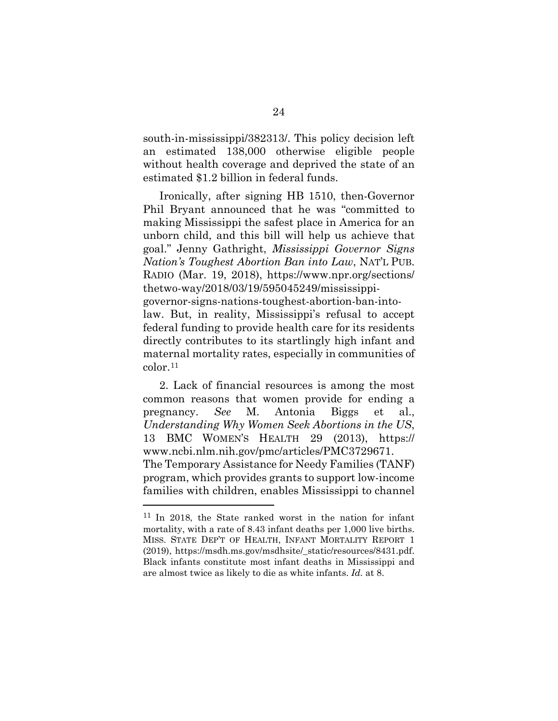south-in-mississippi/382313/. This policy decision left an estimated 138,000 otherwise eligible people without health coverage and deprived the state of an estimated \$1.2 billion in federal funds.

Ironically, after signing HB 1510, then-Governor Phil Bryant announced that he was "committed to making Mississippi the safest place in America for an unborn child, and this bill will help us achieve that goal." Jenny Gathright, *Mississippi Governor Signs Nation's Toughest Abortion Ban into Law*, NAT'L PUB. RADIO (Mar. 19, 2018), https://www.npr.org/sections/ thetwo-way/2018/03/19/595045249/mississippigovernor-signs-nations-toughest-abortion-ban-intolaw. But, in reality, Mississippi's refusal to accept federal funding to provide health care for its residents directly contributes to its startlingly high infant and maternal mortality rates, especially in communities of color.[11](#page-34-0)

2. Lack of financial resources is among the most common reasons that women provide for ending a pregnancy. *See* M. Antonia Biggs et al., *Understanding Why Women Seek Abortions in the US*, 13 BMC WOMEN'S HEALTH 29 (2013), https:// www.ncbi.nlm.nih.gov/pmc/articles/PMC3729671. The Temporary Assistance for Needy Families (TANF) program, which provides grants to support low-income families with children, enables Mississippi to channel

<span id="page-34-0"></span><sup>11</sup> In 2018, the State ranked worst in the nation for infant mortality, with a rate of 8.43 infant deaths per 1,000 live births. MISS. STATE DEP'T OF HEALTH, INFANT MORTALITY REPORT 1 (2019), https://msdh.ms.gov/msdhsite/\_static/resources/8431.pdf. Black infants constitute most infant deaths in Mississippi and are almost twice as likely to die as white infants. *Id.* at 8.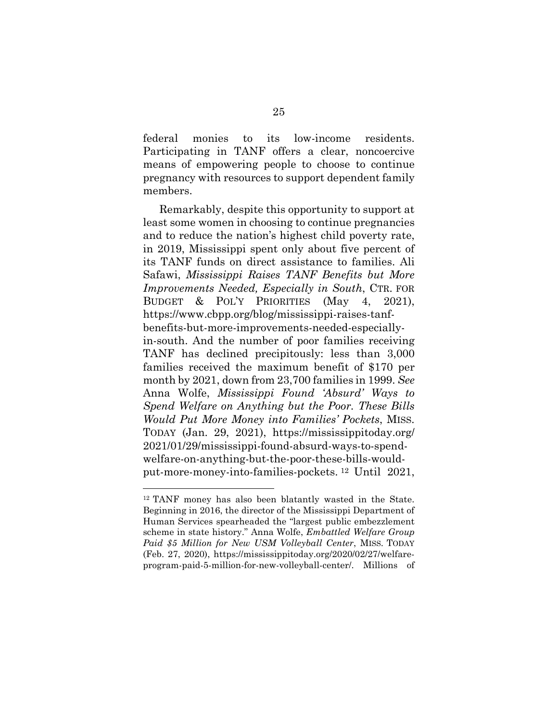federal monies to its low-income residents. Participating in TANF offers a clear, noncoercive means of empowering people to choose to continue pregnancy with resources to support dependent family members.

Remarkably, despite this opportunity to support at least some women in choosing to continue pregnancies and to reduce the nation's highest child poverty rate, in 2019, Mississippi spent only about five percent of its TANF funds on direct assistance to families. Ali Safawi, *Mississippi Raises TANF Benefits but More Improvements Needed, Especially in South*, CTR. FOR BUDGET & POL'Y PRIORITIES (May 4, 2021), https://www.cbpp.org/blog/mississippi-raises-tanfbenefits-but-more-improvements-needed-especiallyin-south. And the number of poor families receiving TANF has declined precipitously: less than 3,000 families received the maximum benefit of \$170 per month by 2021, down from 23,700 families in 1999. *See*  Anna Wolfe, *Mississippi Found 'Absurd' Ways to Spend Welfare on Anything but the Poor. These Bills Would Put More Money into Families' Pockets*, MISS. TODAY (Jan. 29, 2021), https://mississippitoday.org/ 2021/01/29/mississippi-found-absurd-ways-to-spendwelfare-on-anything-but-the-poor-these-bills-wouldput-more-money-into-families-pockets. [12](#page-35-0) Until 2021,

<span id="page-35-0"></span><sup>12</sup> TANF money has also been blatantly wasted in the State. Beginning in 2016, the director of the Mississippi Department of Human Services spearheaded the "largest public embezzlement scheme in state history." Anna Wolfe, *Embattled Welfare Group Paid \$5 Million for New USM Volleyball Center*, MISS. TODAY (Feb. 27, 2020), https://mississippitoday.org/2020/02/27/welfareprogram-paid-5-million-for-new-volleyball-center/. Millions of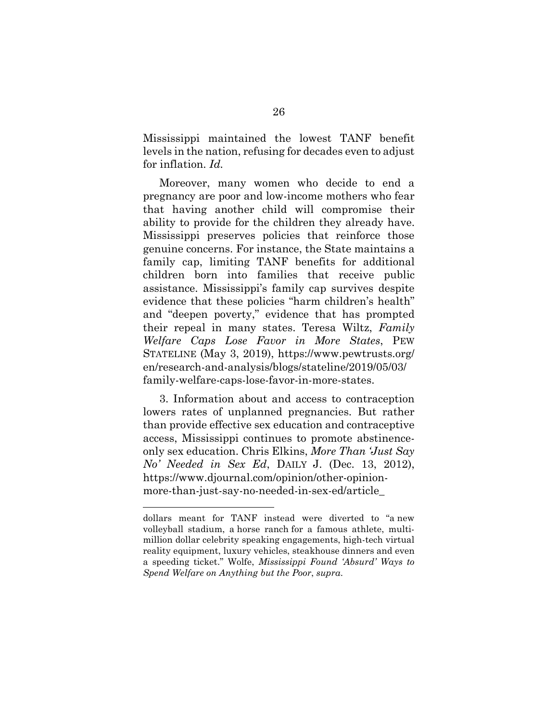Mississippi maintained the lowest TANF benefit levels in the nation, refusing for decades even to adjust for inflation. *Id.*

Moreover, many women who decide to end a pregnancy are poor and low-income mothers who fear that having another child will compromise their ability to provide for the children they already have. Mississippi preserves policies that reinforce those genuine concerns. For instance, the State maintains a family cap, limiting TANF benefits for additional children born into families that receive public assistance. Mississippi's family cap survives despite evidence that these policies "harm children's health" and "deepen poverty," evidence that has prompted their repeal in many states. Teresa Wiltz, *Family Welfare Caps Lose Favor in More States*, PEW STATELINE (May 3, 2019), https://www.pewtrusts.org/ en/research-and-analysis/blogs/stateline/2019/05/03/ family-welfare-caps-lose-favor-in-more-states.

3. Information about and access to contraception lowers rates of unplanned pregnancies. But rather than provide effective sex education and contraceptive access, Mississippi continues to promote abstinenceonly sex education. Chris Elkins, *More Than 'Just Say No' Needed in Sex Ed*, DAILY J. (Dec. 13, 2012), https://www.djournal.com/opinion/other-opinionmore-than-just-say-no-needed-in-sex-ed/article\_

dollars meant for TANF instead were diverted to "a new volleyball stadium, a horse ranch for a famous athlete, multimillion dollar celebrity speaking engagements, high-tech virtual reality equipment, luxury vehicles, steakhouse dinners and even a speeding ticket." Wolfe, *Mississippi Found 'Absurd' Ways to Spend Welfare on Anything but the Poor*, *supra*.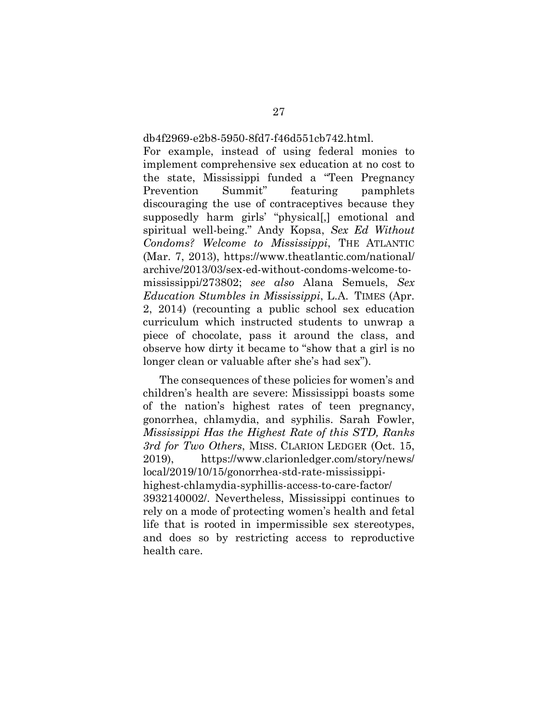#### db4f2969-e2b8-5950-8fd7-f46d551cb742.html.

For example, instead of using federal monies to implement comprehensive sex education at no cost to the state, Mississippi funded a "Teen Pregnancy Prevention Summit" featuring pamphlets discouraging the use of contraceptives because they supposedly harm girls' "physical[,] emotional and spiritual well-being." Andy Kopsa, *Sex Ed Without Condoms? Welcome to Mississippi*, THE ATLANTIC (Mar. 7, 2013), https://www.theatlantic.com/national/ archive/2013/03/sex-ed-without-condoms-welcome-tomississippi/273802; *see also* Alana Semuels, *Sex Education Stumbles in Mississippi*, L.A. TIMES (Apr. 2, 2014) (recounting a public school sex education curriculum which instructed students to unwrap a piece of chocolate, pass it around the class, and observe how dirty it became to "show that a girl is no longer clean or valuable after she's had sex").

The consequences of these policies for women's and children's health are severe: Mississippi boasts some of the nation's highest rates of teen pregnancy, gonorrhea, chlamydia, and syphilis. Sarah Fowler, *Mississippi Has the Highest Rate of this STD, Ranks 3rd for Two Others*, MISS. CLARION LEDGER (Oct. 15, 2019), https://www.clarionledger.com/story/news/ local/2019/10/15/gonorrhea-std-rate-mississippihighest-chlamydia-syphillis-access-to-care-factor/ 3932140002/. Nevertheless, Mississippi continues to rely on a mode of protecting women's health and fetal life that is rooted in impermissible sex stereotypes, and does so by restricting access to reproductive health care.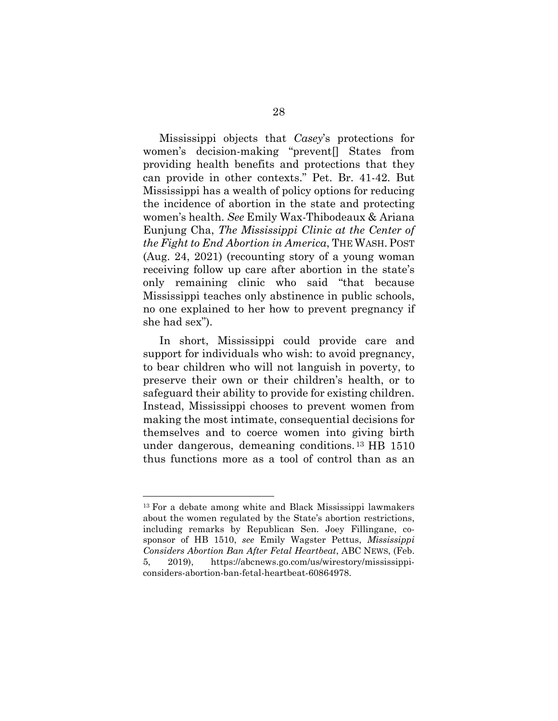Mississippi objects that *Casey*'s protections for women's decision-making "prevent[] States from providing health benefits and protections that they can provide in other contexts." Pet. Br. 41-42. But Mississippi has a wealth of policy options for reducing the incidence of abortion in the state and protecting women's health. *See* Emily Wax-Thibodeaux & Ariana Eunjung Cha, *The Mississippi Clinic at the Center of the Fight to End Abortion in America*, THE WASH. POST (Aug. 24, 2021) (recounting story of a young woman receiving follow up care after abortion in the state's only remaining clinic who said "that because Mississippi teaches only abstinence in public schools, no one explained to her how to prevent pregnancy if she had sex").

In short, Mississippi could provide care and support for individuals who wish: to avoid pregnancy, to bear children who will not languish in poverty, to preserve their own or their children's health, or to safeguard their ability to provide for existing children. Instead, Mississippi chooses to prevent women from making the most intimate, consequential decisions for themselves and to coerce women into giving birth under dangerous, demeaning conditions. [13](#page-38-0) HB 1510 thus functions more as a tool of control than as an

<span id="page-38-0"></span><sup>13</sup> For a debate among white and Black Mississippi lawmakers about the women regulated by the State's abortion restrictions, including remarks by Republican Sen. Joey Fillingane, cosponsor of HB 1510, *see* Emily Wagster Pettus, *Mississippi Considers Abortion Ban After Fetal Heartbeat*, ABC NEWS, (Feb. 5, 2019), https://abcnews.go.com/us/wirestory/mississippiconsiders-abortion-ban-fetal-heartbeat-60864978.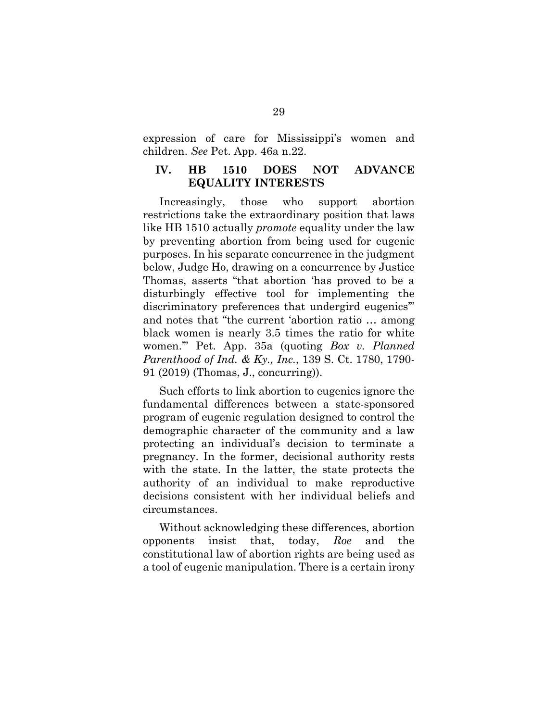expression of care for Mississippi's women and children. *See* Pet. App. 46a n.22.

#### **IV. HB 1510 DOES NOT ADVANCE EQUALITY INTERESTS**

Increasingly, those who support abortion restrictions take the extraordinary position that laws like HB 1510 actually *promote* equality under the law by preventing abortion from being used for eugenic purposes. In his separate concurrence in the judgment below, Judge Ho, drawing on a concurrence by Justice Thomas, asserts "that abortion 'has proved to be a disturbingly effective tool for implementing the discriminatory preferences that undergird eugenics'" and notes that "the current 'abortion ratio … among black women is nearly 3.5 times the ratio for white women.'" Pet. App. 35a (quoting *Box v. Planned Parenthood of Ind. & Ky., Inc.*, 139 S. Ct. 1780, 1790- 91 (2019) (Thomas, J., concurring)).

Such efforts to link abortion to eugenics ignore the fundamental differences between a state-sponsored program of eugenic regulation designed to control the demographic character of the community and a law protecting an individual's decision to terminate a pregnancy. In the former, decisional authority rests with the state. In the latter, the state protects the authority of an individual to make reproductive decisions consistent with her individual beliefs and circumstances.

Without acknowledging these differences, abortion opponents insist that, today, *Roe* and the constitutional law of abortion rights are being used as a tool of eugenic manipulation. There is a certain irony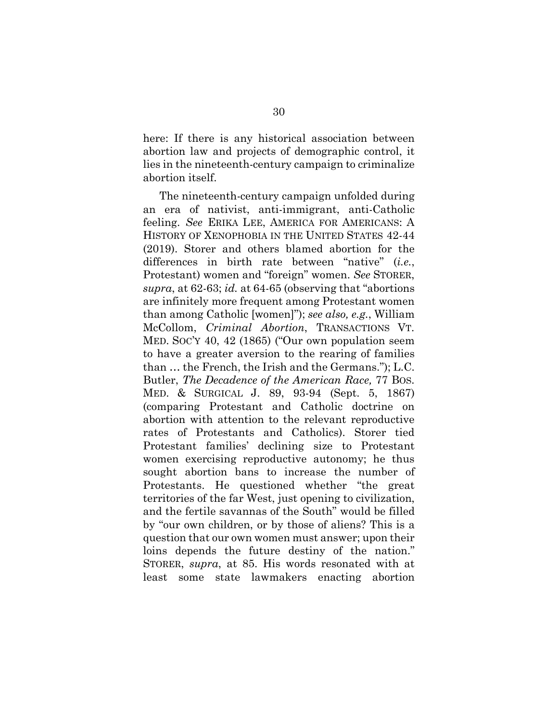here: If there is any historical association between abortion law and projects of demographic control, it lies in the nineteenth-century campaign to criminalize abortion itself.

The nineteenth-century campaign unfolded during an era of nativist, anti-immigrant, anti-Catholic feeling. *See* ERIKA LEE, AMERICA FOR AMERICANS: A HISTORY OF XENOPHOBIA IN THE UNITED STATES 42-44 (2019). Storer and others blamed abortion for the differences in birth rate between "native" (*i.e.*, Protestant) women and "foreign" women. *See* STORER, *supra*, at 62-63; *id.* at 64-65 (observing that "abortions are infinitely more frequent among Protestant women than among Catholic [women]"); *see also, e.g.*, William McCollom, *Criminal Abortion*, TRANSACTIONS VT. MED. SOC'Y 40, 42 (1865) ("Our own population seem to have a greater aversion to the rearing of families than … the French, the Irish and the Germans."); L.C. Butler, *The Decadence of the American Race,* 77 BOS. MED. & SURGICAL J. 89, 93-94 (Sept. 5, 1867) (comparing Protestant and Catholic doctrine on abortion with attention to the relevant reproductive rates of Protestants and Catholics). Storer tied Protestant families' declining size to Protestant women exercising reproductive autonomy; he thus sought abortion bans to increase the number of Protestants. He questioned whether "the great territories of the far West, just opening to civilization, and the fertile savannas of the South" would be filled by "our own children, or by those of aliens? This is a question that our own women must answer; upon their loins depends the future destiny of the nation." STORER, *supra*, at 85. His words resonated with at least some state lawmakers enacting abortion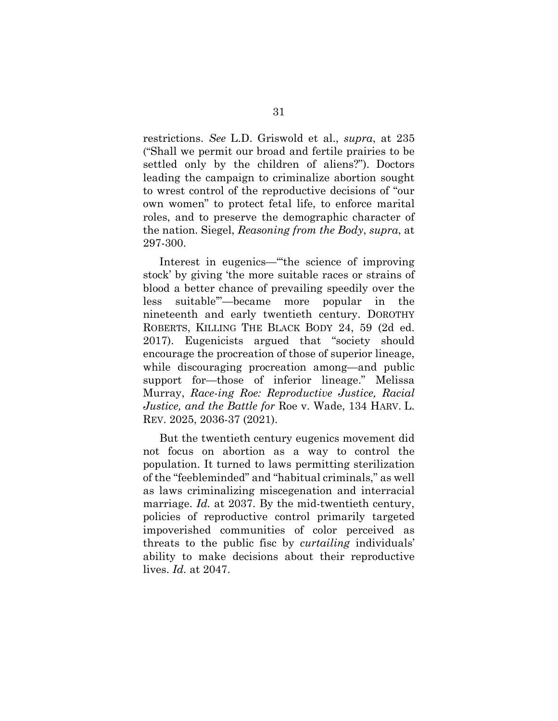restrictions. *See* L.D. Griswold et al., *supra*, at 235 ("Shall we permit our broad and fertile prairies to be settled only by the children of aliens?"). Doctors leading the campaign to criminalize abortion sought to wrest control of the reproductive decisions of "our own women" to protect fetal life, to enforce marital roles, and to preserve the demographic character of the nation. Siegel, *Reasoning from the Body*, *supra*, at 297-300.

Interest in eugenics—"'the science of improving stock' by giving 'the more suitable races or strains of blood a better chance of prevailing speedily over the less suitable'"—became more popular in the nineteenth and early twentieth century. DOROTHY ROBERTS, KILLING THE BLACK BODY 24, 59 (2d ed. 2017). Eugenicists argued that "society should encourage the procreation of those of superior lineage, while discouraging procreation among—and public support for—those of inferior lineage." Melissa Murray, *Race-ing Roe: Reproductive Justice, Racial Justice, and the Battle for* Roe v. Wade, 134 HARV. L. REV. 2025, 2036-37 (2021).

But the twentieth century eugenics movement did not focus on abortion as a way to control the population. It turned to laws permitting sterilization of the "feebleminded" and "habitual criminals," as well as laws criminalizing miscegenation and interracial marriage. *Id.* at 2037. By the mid-twentieth century, policies of reproductive control primarily targeted impoverished communities of color perceived as threats to the public fisc by *curtailing* individuals' ability to make decisions about their reproductive lives. *Id.* at 2047.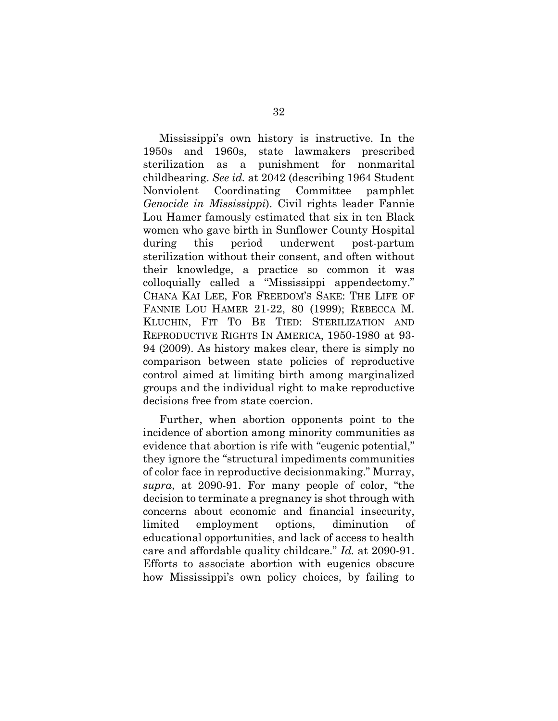Mississippi's own history is instructive. In the 1950s and 1960s, state lawmakers prescribed sterilization as a punishment for nonmarital childbearing. *See id.* at 2042 (describing 1964 Student Nonviolent Coordinating Committee pamphlet *Genocide in Mississippi*). Civil rights leader Fannie Lou Hamer famously estimated that six in ten Black women who gave birth in Sunflower County Hospital during this period underwent post-partum sterilization without their consent, and often without their knowledge, a practice so common it was colloquially called a "Mississippi appendectomy." CHANA KAI LEE, FOR FREEDOM'S SAKE: THE LIFE OF FANNIE LOU HAMER 21-22, 80 (1999); REBECCA M. KLUCHIN, FIT TO BE TIED: STERILIZATION AND REPRODUCTIVE RIGHTS IN AMERICA, 1950-1980 at 93- 94 (2009). As history makes clear, there is simply no comparison between state policies of reproductive control aimed at limiting birth among marginalized groups and the individual right to make reproductive decisions free from state coercion.

Further, when abortion opponents point to the incidence of abortion among minority communities as evidence that abortion is rife with "eugenic potential," they ignore the "structural impediments communities of color face in reproductive decisionmaking." Murray, *supra*, at 2090-91. For many people of color, "the decision to terminate a pregnancy is shot through with concerns about economic and financial insecurity, limited employment options, diminution of educational opportunities, and lack of access to health care and affordable quality childcare." *Id.* at 2090-91. Efforts to associate abortion with eugenics obscure how Mississippi's own policy choices, by failing to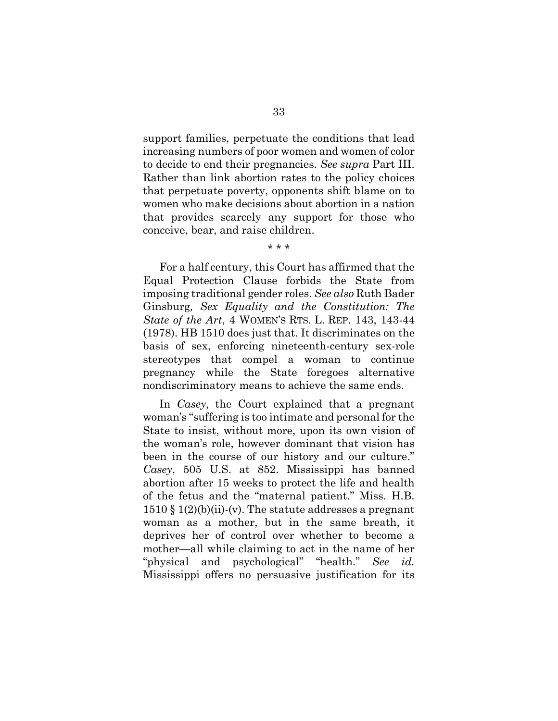support families, perpetuate the conditions that lead increasing numbers of poor women and women of color to decide to end their pregnancies. *See supra* Part III. Rather than link abortion rates to the policy choices that perpetuate poverty, opponents shift blame on to women who make decisions about abortion in a nation that provides scarcely any support for those who conceive, bear, and raise children.

\* \* \*

For a half century, this Court has affirmed that the Equal Protection Clause forbids the State from imposing traditional gender roles. *See also* Ruth Bader Ginsburg*, Sex Equality and the Constitution: The State of the Art*, 4 WOMEN'S RTS. L. REP. 143, 143-44 (1978). HB 1510 does just that. It discriminates on the basis of sex, enforcing nineteenth-century sex-role stereotypes that compel a woman to continue pregnancy while the State foregoes alternative nondiscriminatory means to achieve the same ends.

In *Casey*, the Court explained that a pregnant woman's "suffering is too intimate and personal for the State to insist, without more, upon its own vision of the woman's role, however dominant that vision has been in the course of our history and our culture." *Casey*, 505 U.S. at 852. Mississippi has banned abortion after 15 weeks to protect the life and health of the fetus and the "maternal patient." Miss. H.B.  $1510 \text{ }\mathcal{S}$   $1(2)(b)(ii)-(v)$ . The statute addresses a pregnant woman as a mother, but in the same breath, it deprives her of control over whether to become a mother—all while claiming to act in the name of her "physical and psychological" "health." *See id.* Mississippi offers no persuasive justification for its